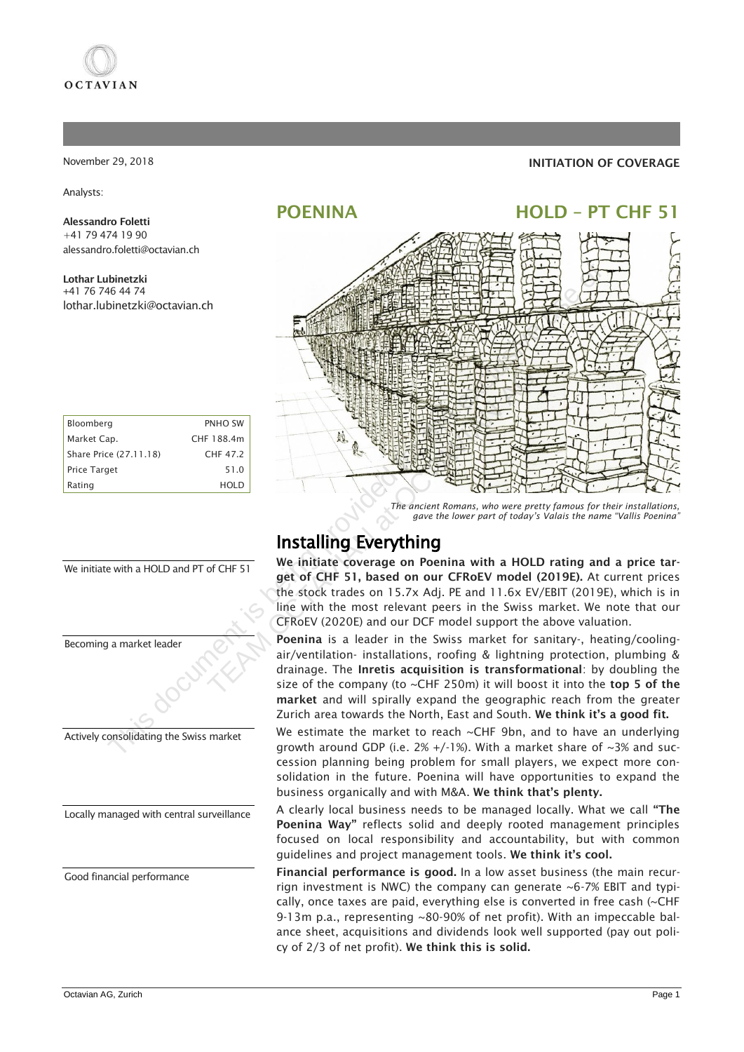

#### November 29, 2018

Analysts:

#### Alessandro Foletti +41 79 474 19 90 alessandro.foletti@octavian.ch

Lothar Lubinetzki +41 76 746 44 74 lothar.lubinetzki@octavian.ch

| Bloomberg              | <b>PNHO SW</b> |
|------------------------|----------------|
| Market Cap.            | CHF 188.4m     |
| Share Price (27.11.18) | CHF 47 2       |
| <b>Price Target</b>    | 51.0           |
| Rating                 | HOLD           |



We initiate with a HOLD and PT of CHF 51

Locally managed with central surveillance

Good financial performance

## INITIATION OF COVERAGE

## POENINA HOLD – PT CHF 51



*The ancient Romans, who were pretty famous for their installations, gave the lower part of today's Valais the name "Vallis Poenina"* 

## Installing Everything

We initiate coverage on Poenina with a HOLD rating and a price target of CHF 51, based on our CFRoEV model (2019E). At current prices the stock trades on 15.7x Adj. PE and 11.6x EV/EBIT (2019E), which is in line with the most relevant peers in the Swiss market. We note that our CFRoEV (2020E) and our DCF model support the above valuation.

Poenina is a leader in the Swiss market for sanitary-, heating/coolingair/ventilation- installations, roofing & lightning protection, plumbing & drainage. The Inretis acquisition is transformational: by doubling the size of the company (to  $\sim$ CHF 250m) it will boost it into the top 5 of the market and will spirally expand the geographic reach from the greater Zurich area towards the North, East and South. We think it's a good fit.

We estimate the market to reach  $\sim$ CHF 9bn, and to have an underlying growth around GDP (i.e.  $2\% + (-1\%)$ . With a market share of ~3% and succession planning being problem for small players, we expect more consolidation in the future. Poenina will have opportunities to expand the business organically and with M&A. We think that's plenty.

A clearly local business needs to be managed locally. What we call "The Poenina Way" reflects solid and deeply rooted management principles focused on local responsibility and accountability, but with common guidelines and project management tools. We think it's cool.

Financial performance is good. In a low asset business (the main recurrign investment is NWC) the company can generate  $\sim$  6-7% EBIT and typically, once taxes are paid, everything else is converted in free cash (~CHF 9-13m p.a., representing ~80-90% of net profit). With an impeccable balance sheet, acquisitions and dividends look well supported (pay out policy of 2/3 of net profit). We think this is solid.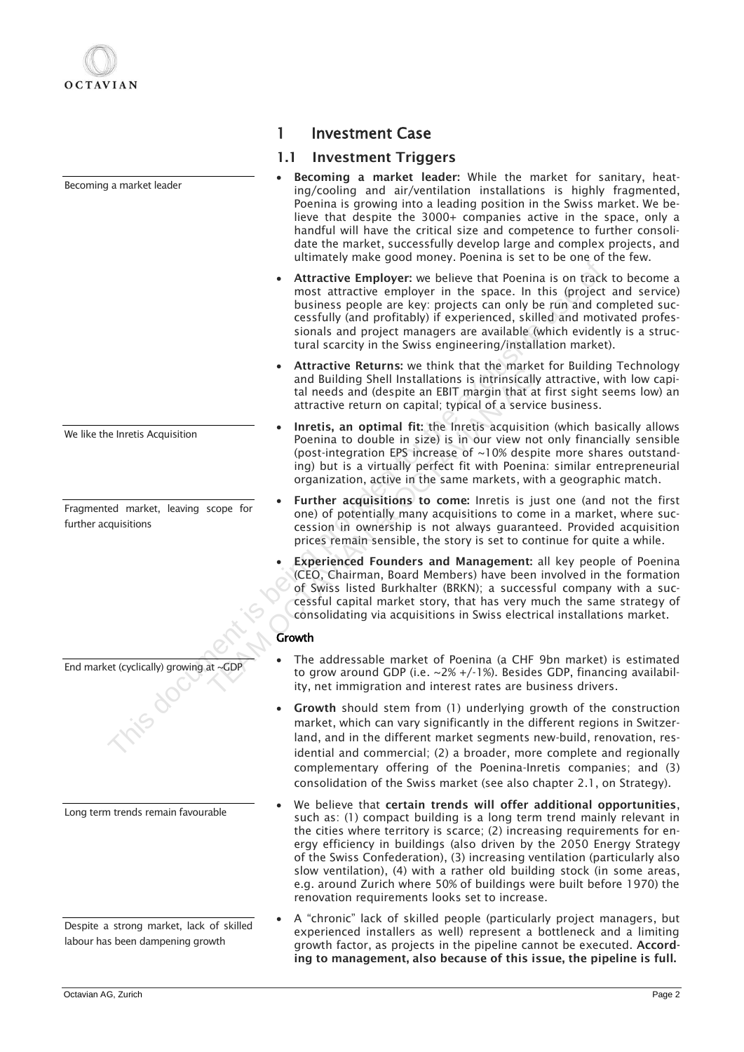Becoming a market leader

We like the Inretis Acquisition

Fragmented market, leaving scope for further acquisitions

Long term trends remain favourable

End market (cyclically) growing at ~GDP

Despite a strong market, lack of skilled labour has been dampening growth

## 1 Investment Case

## 1.1 Investment Triggers

- Becoming a market leader: While the market for sanitary, heating/cooling and air/ventilation installations is highly fragmented, Poenina is growing into a leading position in the Swiss market. We believe that despite the 3000+ companies active in the space, only a handful will have the critical size and competence to further consolidate the market, successfully develop large and complex projects, and ultimately make good money. Poenina is set to be one of the few.
- Attractive Employer: we believe that Poenina is on track to become a most attractive employer in the space. In this (project and service) business people are key: projects can only be run and completed successfully (and profitably) if experienced, skilled and motivated professionals and project managers are available (which evidently is a structural scarcity in the Swiss engineering/installation market). • Attractive Employer: we believe that Poenina is on track<br>
most attractive employer in the space. In this (projects<br>
counting provided and motitally (and profitably) if experienced, skilled and mot<br>
sionals and project m
	- Attractive Returns: we think that the market for Building Technology and Building Shell Installations is intrinsically attractive, with low capital needs and (despite an EBIT margin that at first sight seems low) an attractive return on capital; typical of a service business.
	- Inretis, an optimal fit: the Inretis acquisition (which basically allows Poenina to double in size) is in our view not only financially sensible (post-integration EPS increase of ~10% despite more shares outstanding) but is a virtually perfect fit with Poenina: similar entrepreneurial organization, active in the same markets, with a geographic match.
	- Further acquisitions to come: Inretis is just one (and not the first one) of potentially many acquisitions to come in a market, where succession in ownership is not always guaranteed. Provided acquisition prices remain sensible, the story is set to continue for quite a while.
	- **Experienced Founders and Management:** all key people of Poenina (CEO, Chairman, Board Members) have been involved in the formation of Swiss listed Burkhalter (BRKN); a successful company with a successful capital market story, that has very much the same strategy of consolidating via acquisitions in Swiss electrical installations market. And Building Shell Installations is intrinsically<br>and Building Shell Installations is intrinsically<br>tal needs and (despite an EBIT margin that at<br>attractive return on capital; typical of a service<br>• **Inretis, an optimal fi**

## **Growth**

- The addressable market of Poenina (a CHF 9bn market) is estimated to grow around GDP (i.e. ~2% +/-1%). Besides GDP, financing availability, net immigration and interest rates are business drivers.
- Growth should stem from (1) underlying growth of the construction market, which can vary significantly in the different regions in Switzerland, and in the different market segments new-build, renovation, residential and commercial; (2) a broader, more complete and regionally complementary offering of the Poenina-Inretis companies; and (3) consolidation of the Swiss market (see also chapter 2.1, on Strategy).
- We believe that certain trends will offer additional opportunities, such as: (1) compact building is a long term trend mainly relevant in the cities where territory is scarce; (2) increasing requirements for energy efficiency in buildings (also driven by the 2050 Energy Strategy of the Swiss Confederation), (3) increasing ventilation (particularly also slow ventilation), (4) with a rather old building stock (in some areas, e.g. around Zurich where 50% of buildings were built before 1970) the renovation requirements looks set to increase.
- A "chronic" lack of skilled people (particularly project managers, but experienced installers as well) represent a bottleneck and a limiting growth factor, as projects in the pipeline cannot be executed. According to management, also because of this issue, the pipeline is full.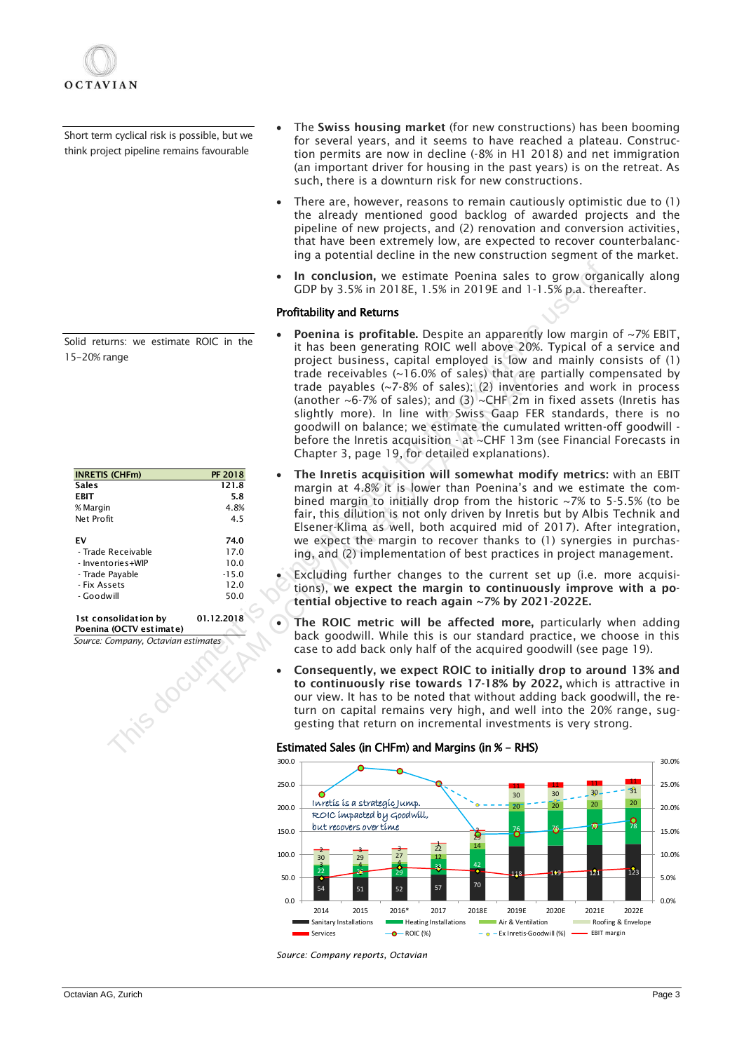

Short term cyclical risk is possible, but we think project pipeline remains favourable

Solid returns: we estimate ROIC in the 15-20% range

| <b>INRETIS (CHFm)</b> | <b>PF 2018</b> |
|-----------------------|----------------|
| <b>Sales</b>          | 121.8          |
| EBIT                  | 5.8            |
| % Margin              | 4.8%           |
| Net Profit            | 4.5            |
| FV                    | 74.0           |
| - Trade Receivable    | 17.0           |
| - Inventories+WIP     | 10.0           |
| - Trade Payable       | $-15.0$        |
| - Fix Assets          | 12.0           |
| - Goodwill            | 50.0           |
|                       |                |

*Source: Company, Octavian estimates* 1st consolidation by 01.12.2018 Poenina (OCTV estimate)

- The Swiss housing market (for new constructions) has been booming for several years, and it seems to have reached a plateau. Construction permits are now in decline (-8% in H1 2018) and net immigration (an important driver for housing in the past years) is on the retreat. As such, there is a downturn risk for new constructions.
- There are, however, reasons to remain cautiously optimistic due to  $(1)$ the already mentioned good backlog of awarded projects and the pipeline of new projects, and (2) renovation and conversion activities, that have been extremely low, are expected to recover counterbalancing a potential decline in the new construction segment of the market.
- In conclusion, we estimate Poenina sales to grow organically along GDP by 3.5% in 2018E, 1.5% in 2019E and 1-1.5% p.a. thereafter.

#### Profitability and Returns

- **Poenina is profitable.** Despite an apparently low margin of  $~7\%$  EBIT, it has been generating ROIC well above 20%. Typical of a service and project business, capital employed is low and mainly consists of (1) trade receivables (~16.0% of sales) that are partially compensated by trade payables (~7-8% of sales); (2) inventories and work in process (another  $\sim$  6-7% of sales); and (3)  $\sim$  CHF 2m in fixed assets (Inretis has slightly more). In line with Swiss Gaap FER standards, there is no goodwill on balance; we estimate the cumulated written-off goodwill before the Inretis acquisition - at ~CHF 13m (see Financial Forecasts in Chapter 3, page 19, for detailed explanations). **•** In conclusion, we estimate Poenina sales to grow orger<br> **CDP** by 3.5% in 2019E and 1-1.5% p.a. the<br> **Portinality and Reums**<br> **•** Poenina is profitable. Despite an apparently low margit<br>
it as been generating ROIC well
	- The Inretis acquisition will somewhat modify metrics: with an EBIT margin at 4.8% it is lower than Poenina's and we estimate the combined margin to initially drop from the historic ~7% to 5-5.5% (to be fair, this dilution is not only driven by Inretis but by Albis Technik and Elsener-Klima as well, both acquired mid of 2017). After integration, we expect the margin to recover thanks to (1) synergies in purchasing, and (2) implementation of best practices in project management. trade receivables (~16.0% of sales); that are<br>
	trade payables (~7-8% of sales); (2) inventor<br>
	(another ~6-7% of sales); and (3) ~CHF 2m in<br>
	slightly more). In line with Swiss Gaap FER<br>
	goodwill on balance; we estimate the
		- Excluding further changes to the current set up (i.e. more acquisitions), we expect the margin to continuously improve with a potential objective to reach again ~7% by 2021-2022E.
		- The ROIC metric will be affected more, particularly when adding back goodwill. While this is our standard practice, we choose in this case to add back only half of the acquired goodwill (see page 19).
		- Consequently, we expect ROIC to initially drop to around 13% and to continuously rise towards 17-18% by 2022, which is attractive in our view. It has to be noted that without adding back goodwill, the return on capital remains very high, and well into the 20% range, suggesting that return on incremental investments is very strong.





*Source: Company reports, Octavian*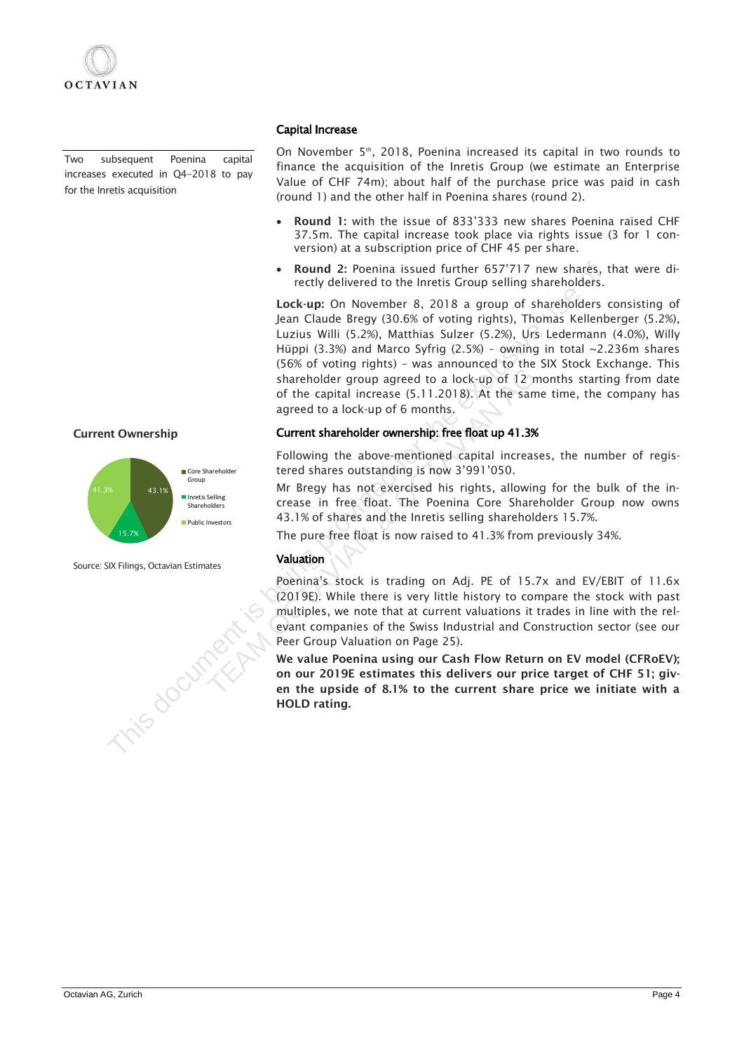Two subsequent Poenina capital increases executed in Q4-2018 to pay for the Inretis acquisition

## Current Ownership



Source: SIX Filings, Octavian Estimates

#### Capital Increase

On November 5<sup>th</sup>, 2018, Poenina increased its capital in two rounds to finance the acquisition of the Inretis Group (we estimate an Enterprise Value of CHF 74m); about half of the purchase price was paid in cash (round 1) and the other half in Poenina shares (round 2).

- Round 1: with the issue of 833'333 new shares Poenina raised CHF 37.5m. The capital increase took place via rights issue (3 for 1 conversion) at a subscription price of CHF 45 per share.
- Round 2: Poenina issued further 657'717 new shares, that were directly delivered to the Inretis Group selling shareholders.

Lock-up: On November 8, 2018 a group of shareholders consisting of Jean Claude Bregy (30.6% of voting rights), Thomas Kellenberger (5.2%), Luzius Willi (5.2%), Matthias Sulzer (5.2%), Urs Ledermann (4.0%), Willy Hüppi (3.3%) and Marco Syfrig (2.5%) – owning in total ~2.236m shares (56% of voting rights) – was announced to the SIX Stock Exchange. This shareholder group agreed to a lock-up of 12 months starting from date of the capital increase (5.11.2018). At the same time, the company has agreed to a lock-up of 6 months. For the student is the computer of the exclusive tect the student of the control of the control of the exclusive United States (1978) (30.6% of the exclusive use of the exclusive use of the exclusive use of the exclusive u

#### Current shareholder ownership: free float up 41.3%

Following the above-mentioned capital increases, the number of registered shares outstanding is now 3'991'050.

Mr Bregy has not exercised his rights, allowing for the bulk of the increase in free float. The Poenina Core Shareholder Group now owns 43.1% of shares and the Inretis selling shareholders 15.7%.

The pure free float is now raised to 41.3% from previously 34%.

## Valuation

Poenina's stock is trading on Adj. PE of 15.7x and EV/EBIT of 11.6x (2019E). While there is very little history to compare the stock with past multiples, we note that at current valuations it trades in line with the relevant companies of the Swiss Industrial and Construction sector (see our Peer Group Valuation on Page 25). Shareholder group agreed to a lock-up of 12 m<br>
of the capital increase (5.11.2018). At the same<br>
agreed to a lock-up of 6 months.<br>
Current shareholder ownership: free float up 41.3%<br>
Following the above-mentioned capital

We value Poenina using our Cash Flow Return on EV model (CFRoEV); on our 2019E estimates this delivers our price target of CHF 51; given the upside of 8.1% to the current share price we initiate with a HOLD rating.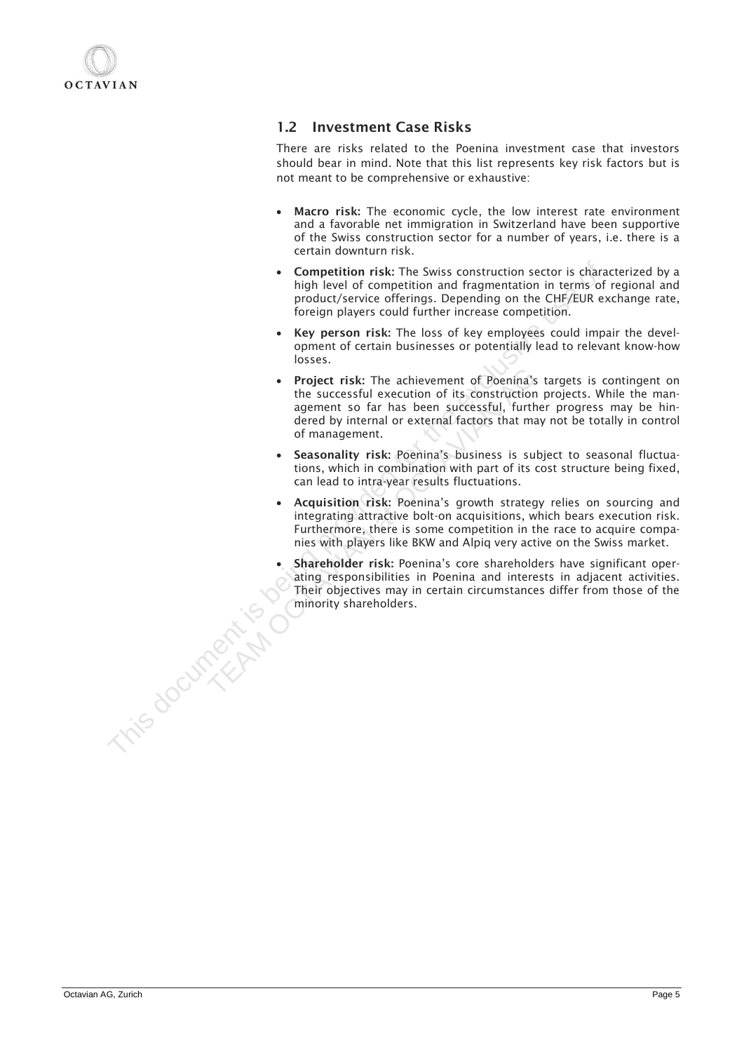

## 1.2 Investment Case Risks

There are risks related to the Poenina investment case that investors should bear in mind. Note that this list represents key risk factors but is not meant to be comprehensive or exhaustive:

- Macro risk: The economic cycle, the low interest rate environment and a favorable net immigration in Switzerland have been supportive of the Swiss construction sector for a number of years, i.e. there is a certain downturn risk.
- Competition risk: The Swiss construction sector is characterized by a high level of competition and fragmentation in terms of regional and product/service offerings. Depending on the CHF/EUR exchange rate, foreign players could further increase competition.
- Key person risk: The loss of key employees could impair the development of certain businesses or potentially lead to relevant know-how losses.
- Project risk: The achievement of Poenina's targets is contingent on the successful execution of its construction projects. While the management so far has been successful, further progress may be hindered by internal or external factors that may not be totally in control of management. **Competition risk:** The Swiss construction sector is charged the exclusive properties of the product/service effectings. Depending on the CHF/EUR exceller of the experiment of the exclusive could turn threats competition.<br> • **Project risk:** The achievement of Poenina's the successful execution of its construction agement so far has been successful, furthe dered by internal or external factors that may of management. **Seasonality risk:** Poeni
	- Seasonality risk: Poenina's business is subject to seasonal fluctuations, which in combination with part of its cost structure being fixed, can lead to intra-year results fluctuations.
	- Acquisition risk: Poenina's growth strategy relies on sourcing and integrating attractive bolt-on acquisitions, which bears execution risk. Furthermore, there is some competition in the race to acquire companies with players like BKW and Alpiq very active on the Swiss market.
	- Shareholder risk: Poenina's core shareholders have significant operating responsibilities in Poenina and interests in adjacent activities. Their objectives may in certain circumstances differ from those of the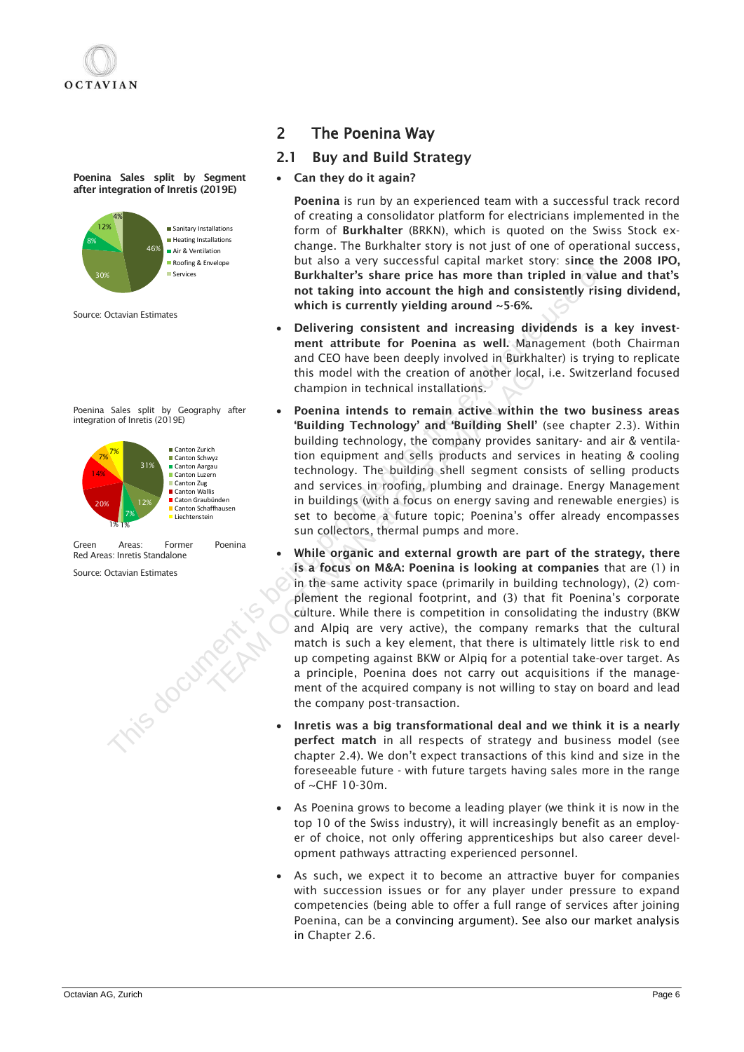Poenina Sales split by Segment after integration of Inretis (2019E)



Source: Octavian Estimates

```
Poenina Sales split by Geography after 
integration of Inretis (2019E)
```


| Green                         | Areas: | Former | Poenina |
|-------------------------------|--------|--------|---------|
| Red Areas: Inretis Standalone |        |        |         |

Source: Octavian Estimates

## 2 The Poenina Way

## 2.1 Buy and Build Strategy

• Can they do it again?

Poenina is run by an experienced team with a successful track record of creating a consolidator platform for electricians implemented in the form of Burkhalter (BRKN), which is quoted on the Swiss Stock exchange. The Burkhalter story is not just of one of operational success, but also a very successful capital market story: since the 2008 IPO, Burkhalter's share price has more than tripled in value and that's not taking into account the high and consistently rising dividend, which is currently yielding around ~5-6%.

- Delivering consistent and increasing dividends is a key investment attribute for Poenina as well. Management (both Chairman and CEO have been deeply involved in Burkhalter) is trying to replicate this model with the creation of another local, i.e. Switzerland focused champion in technical installations.
- Poenina intends to remain active within the two business areas 'Building Technology' and 'Building Shell' (see chapter 2.3). Within building technology, the company provides sanitary- and air & ventilation equipment and sells products and services in heating & cooling technology. The building shell segment consists of selling products and services in roofing, plumbing and drainage. Energy Management in buildings (with a focus on energy saving and renewable energies) is set to become a future topic; Poenina's offer already encompasses sun collectors, thermal pumps and more.
- While organic and external growth are part of the strategy, there is a focus on M&A: Poenina is looking at companies that are (1) in in the same activity space (primarily in building technology), (2) complement the regional footprint, and (3) that fit Poenina's corporate culture. While there is competition in consolidating the industry (BKW and Alpiq are very active), the company remarks that the cultural match is such a key element, that there is ultimately little risk to end up competing against BKW or Alpiq for a potential take-over target. As a principle, Poenina does not carry out acquisitions if the management of the acquired company is not willing to stay on board and lead the company post-transaction. The states of the states of the exclusive interest in the high and contain the high and contain the strike interest in the high and cases of the strike interest in the high and cases of the strike interest in the strike of this model with the creation of another local,<br>
champion in technical installations.<br>
Poenina intends to remain active within t<br>
"Building Technology' and 'Building Shell'<br>
building technology, the company provides si<br>
tio
	- Inretis was a big transformational deal and we think it is a nearly perfect match in all respects of strategy and business model (see chapter 2.4). We don't expect transactions of this kind and size in the foreseeable future - with future targets having sales more in the range of ~CHF 10-30m.
	- As Poenina grows to become a leading player (we think it is now in the top 10 of the Swiss industry), it will increasingly benefit as an employer of choice, not only offering apprenticeships but also career development pathways attracting experienced personnel.
	- As such, we expect it to become an attractive buyer for companies with succession issues or for any player under pressure to expand competencies (being able to offer a full range of services after joining Poenina, can be a convincing argument). See also our market analysis in Chapter 2.6.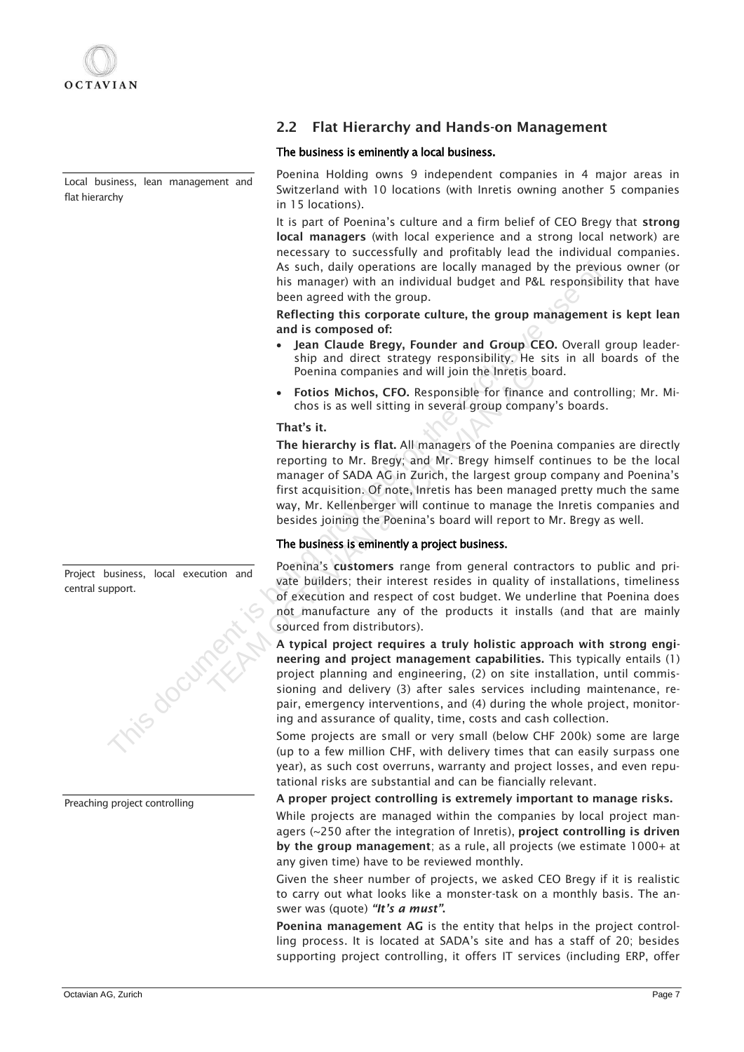

Local business, lean management and flat hierarchy

Project business, local execution and central support.



Preaching project controlling

## 2.2 Flat Hierarchy and Hands-on Management

## The business is eminently a local business.

Poenina Holding owns 9 independent companies in 4 major areas in Switzerland with 10 locations (with Inretis owning another 5 companies in 15 locations).

It is part of Poenina's culture and a firm belief of CEO Bregy that strong local managers (with local experience and a strong local network) are necessary to successfully and profitably lead the individual companies. As such, daily operations are locally managed by the previous owner (or his manager) with an individual budget and P&L responsibility that have been agreed with the group.

Reflecting this corporate culture, the group management is kept lean and is composed of:

- Jean Claude Bregy, Founder and Group CEO. Overall group leadership and direct strategy responsibility. He sits in all boards of the Poenina companies and will join the Inretis board.
- Fotios Michos, CFO. Responsible for finance and controlling; Mr. Michos is as well sitting in several group company's boards.

#### That's it.

The hierarchy is flat. All managers of the Poenina companies are directly reporting to Mr. Bregy; and Mr. Bregy himself continues to be the local manager of SADA AG in Zurich, the largest group company and Poenina's first acquisition. Of note, Inretis has been managed pretty much the same way, Mr. Kellenberger will continue to manage the Inretis companies and besides joining the Poenina's board will report to Mr. Bregy as well. As such, dally operations are locally managed by the prioring<br>in individual budget and P&L responsible<br>been agreed with the group.<br>
Reflecting this corporate culture, the group management<br>
and is composed of:<br>  $\bullet$  leant Poenina companies and will join the Inretis bo<br>
• Fotios Michos, CFO. Responsible for finance<br>
chos is as well sitting in several group compa<br>
That's it.<br>
The hierarchy is flat. All managers of the Poenin<br>
reporting to Mr.

## The business is eminently a project business.

Poenina's customers range from general contractors to public and private builders; their interest resides in quality of installations, timeliness of execution and respect of cost budget. We underline that Poenina does not manufacture any of the products it installs (and that are mainly sourced from distributors).

A typical project requires a truly holistic approach with strong engineering and project management capabilities. This typically entails (1) project planning and engineering, (2) on site installation, until commissioning and delivery (3) after sales services including maintenance, repair, emergency interventions, and (4) during the whole project, monitoring and assurance of quality, time, costs and cash collection.

Some projects are small or very small (below CHF 200k) some are large (up to a few million CHF, with delivery times that can easily surpass one year), as such cost overruns, warranty and project losses, and even reputational risks are substantial and can be fiancially relevant.

#### A proper project controlling is extremely important to manage risks.

While projects are managed within the companies by local project managers  $\sim$  250 after the integration of Inretis), project controlling is driven by the group management; as a rule, all projects (we estimate 1000+ at any given time) have to be reviewed monthly.

Given the sheer number of projects, we asked CEO Bregy if it is realistic to carry out what looks like a monster-task on a monthly basis. The answer was (quote) *"It's a must"*.

Poenina management AG is the entity that helps in the project controlling process. It is located at SADA's site and has a staff of 20; besides supporting project controlling, it offers IT services (including ERP, offer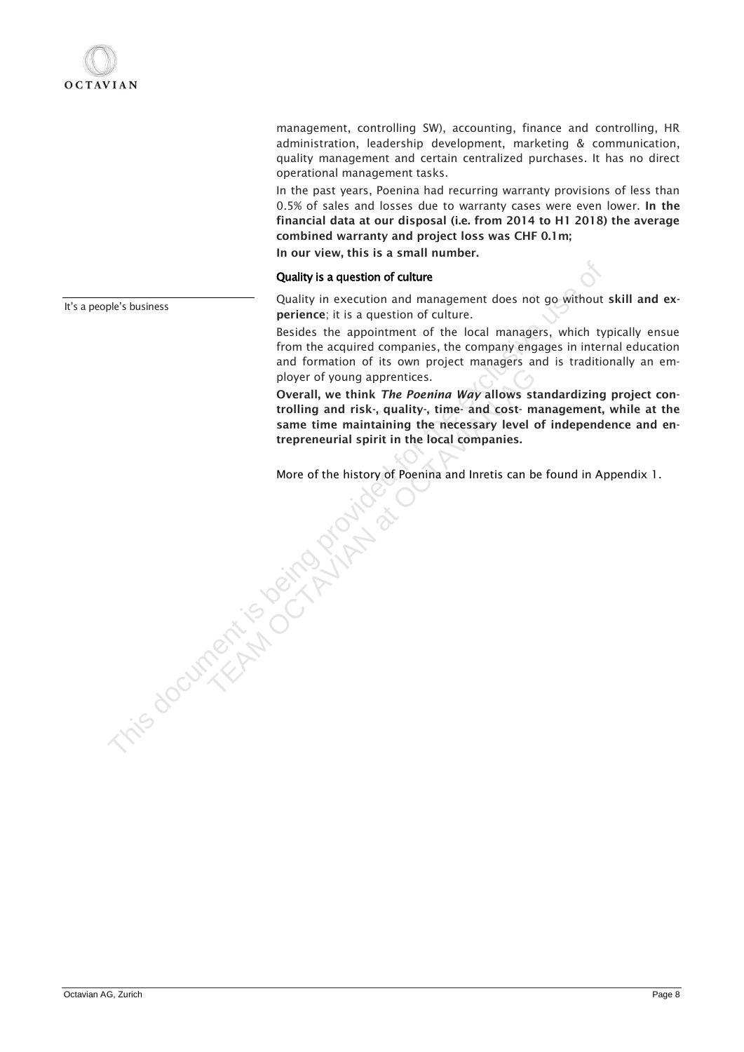management, controlling SW), accounting, finance and controlling, HR administration, leadership development, marketing & communication, quality management and certain centralized purchases. It has no direct operational management tasks.

In the past years, Poenina had recurring warranty provisions of less than 0.5% of sales and losses due to warranty cases were even lower. In the financial data at our disposal (i.e. from 2014 to H1 2018) the average combined warranty and project loss was CHF 0.1m;

In our view, this is a small number.

#### Quality is a question of culture

Quality in execution and management does not go without skill and experience; it is a question of culture.

Besides the appointment of the local managers, which typically ensue from the acquired companies, the company engages in internal education and formation of its own project managers and is traditionally an employer of young apprentices.

Overall, we think *The Poenina Way* allows standardizing project controlling and risk-, quality-, time- and cost- management, while at the same time maintaining the necessary level of independence and entrepreneurial spirit in the local companies. Quality is a question of culture<br>
Quality in execution and management does not go without<br>
perferice, it is question of culture.<br>
Beides the appointment of the local managers, which ty<br>
from the acquired companies, the com ployer of young apprentices.<br>
Overall, we think *The Poenina Way* allows sta<br>
trolling and risk-, quality-, time- and cost- ma<br>
same time maintaining the necessary level of<br>
trepreneurial spirit in the local companies.<br>
Mo

More of the history of Poenina and Inretis can be found in Appendix 1.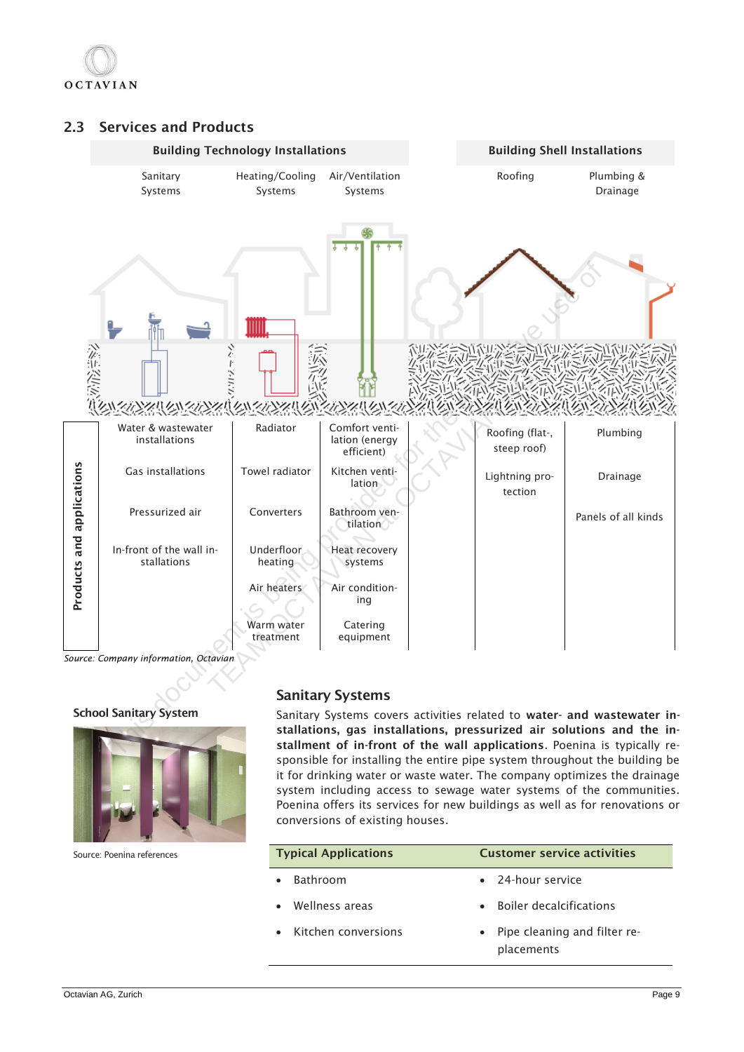

## 2.3 Services and Products



## School Sanitary System



Source: Poenina references

## Sanitary Systems

Sanitary Systems covers activities related to water- and wastewater installations, gas installations, pressurized air solutions and the installment of in-front of the wall applications. Poenina is typically responsible for installing the entire pipe system throughout the building be it for drinking water or waste water. The company optimizes the drainage system including access to sewage water systems of the communities. Poenina offers its services for new buildings as well as for renovations or conversions of existing houses.

| <b>Typical Applications</b> | <b>Customer service activities</b> |                                            |  |  |  |  |  |
|-----------------------------|------------------------------------|--------------------------------------------|--|--|--|--|--|
| <b>Bathroom</b>             |                                    | • 24-hour service                          |  |  |  |  |  |
| Wellness areas              | $\bullet$                          | <b>Boiler decalcifications</b>             |  |  |  |  |  |
| Kitchen conversions         | $\bullet$                          | Pipe cleaning and filter re-<br>placements |  |  |  |  |  |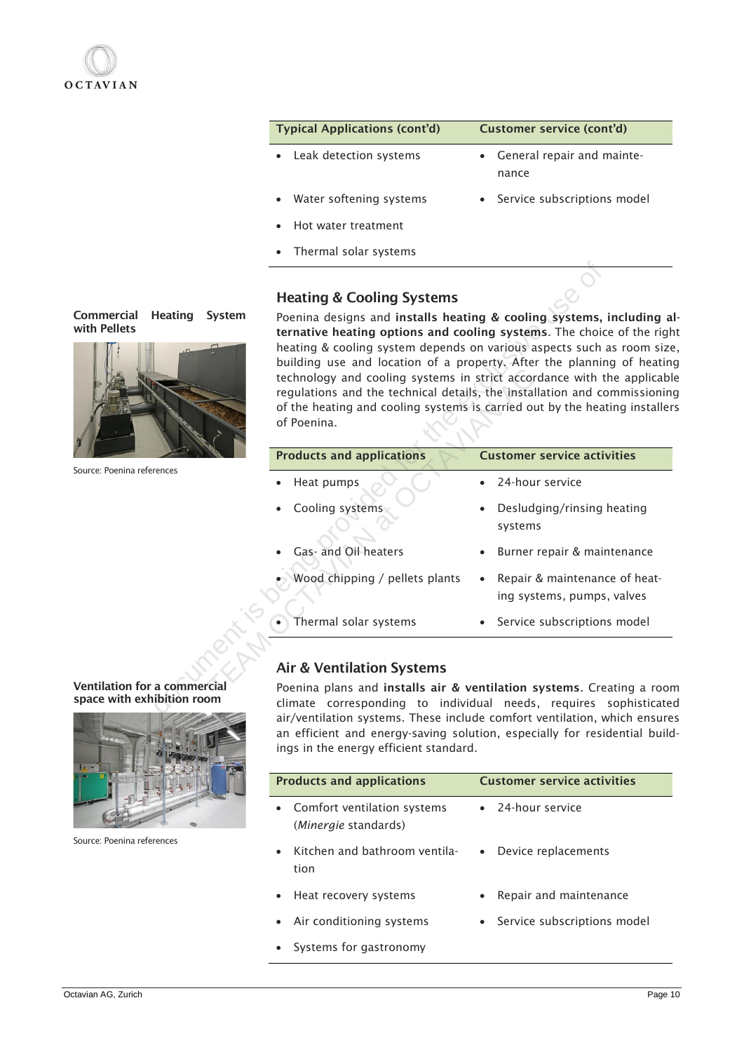

| <b>Typical Applications (cont'd)</b> | Customer service (cont'd)             |
|--------------------------------------|---------------------------------------|
| • Leak detection systems             | • General repair and mainte-<br>nance |
| • Water softening systems            | • Service subscriptions model         |
| • Hot water treatment                |                                       |
| • Thermal solar systems              |                                       |

## Heating & Cooling Systems



Commercial Heating System

Source: Poenina references

|                                                | <b>Heating &amp; Cooling Systems</b>                                                                                                                                                                                                                                                                                                                                                                                                                                                                                                   |                                                             |
|------------------------------------------------|----------------------------------------------------------------------------------------------------------------------------------------------------------------------------------------------------------------------------------------------------------------------------------------------------------------------------------------------------------------------------------------------------------------------------------------------------------------------------------------------------------------------------------------|-------------------------------------------------------------|
| ıercial<br>Heating<br>System<br>ellets         | Poenina designs and installs heating & cooling systems, including<br>ternative heating options and cooling systems. The choice of the rig<br>heating & cooling system depends on various aspects such as room si<br>building use and location of a property. After the planning of heati<br>technology and cooling systems in strict accordance with the applica<br>regulations and the technical details, the installation and commissioni<br>of the heating and cooling systems is carried out by the heating install<br>of Poenina. |                                                             |
| Poenina references                             | <b>Products and applications</b>                                                                                                                                                                                                                                                                                                                                                                                                                                                                                                       | <b>Customer service activities</b>                          |
|                                                | Heat pumps                                                                                                                                                                                                                                                                                                                                                                                                                                                                                                                             | 24-hour service                                             |
|                                                | Cooling systems                                                                                                                                                                                                                                                                                                                                                                                                                                                                                                                        | Desludging/rinsing heating<br>systems                       |
|                                                | Gas- and Oil heaters                                                                                                                                                                                                                                                                                                                                                                                                                                                                                                                   | Burner repair & maintenance                                 |
|                                                | Wood chipping / pellets plants                                                                                                                                                                                                                                                                                                                                                                                                                                                                                                         | Repair & maintenance of heat-<br>ing systems, pumps, valves |
|                                                | Thermal solar systems                                                                                                                                                                                                                                                                                                                                                                                                                                                                                                                  | • Service subscriptions model                               |
|                                                |                                                                                                                                                                                                                                                                                                                                                                                                                                                                                                                                        |                                                             |
|                                                | <b>Air &amp; Ventilation Systems</b>                                                                                                                                                                                                                                                                                                                                                                                                                                                                                                   |                                                             |
| ation for a commercial<br>with exhibition room | Poenina plans and installs air & ventilation systems. Creating a roo<br>climate corresponding to individual needs, requires sophisticat<br>air/ventilation systems. These include comfort ventilation, which ensu<br>an efficient and energy-saving solution, especially for residential bui<br>ings in the energy efficient standard.                                                                                                                                                                                                 |                                                             |

## Air & Ventilation Systems

| <b>Products and applications</b>                                         | <b>Customer service activities</b>  |  |  |  |  |  |  |
|--------------------------------------------------------------------------|-------------------------------------|--|--|--|--|--|--|
| Comfort ventilation systems<br>$\bullet$<br>( <i>Minergie</i> standards) | • 24-hour service                   |  |  |  |  |  |  |
| Kitchen and bathroom ventila-<br>tion                                    | Device replacements<br>$\bullet$    |  |  |  |  |  |  |
| Heat recovery systems                                                    | Repair and maintenance<br>$\bullet$ |  |  |  |  |  |  |
| • Air conditioning systems                                               | • Service subscriptions model       |  |  |  |  |  |  |
| • Systems for gastronomy                                                 |                                     |  |  |  |  |  |  |

#### Ventilation for a commercial space with exhibition room



Source: Poenina references

Octavian AG, Zurich Page 10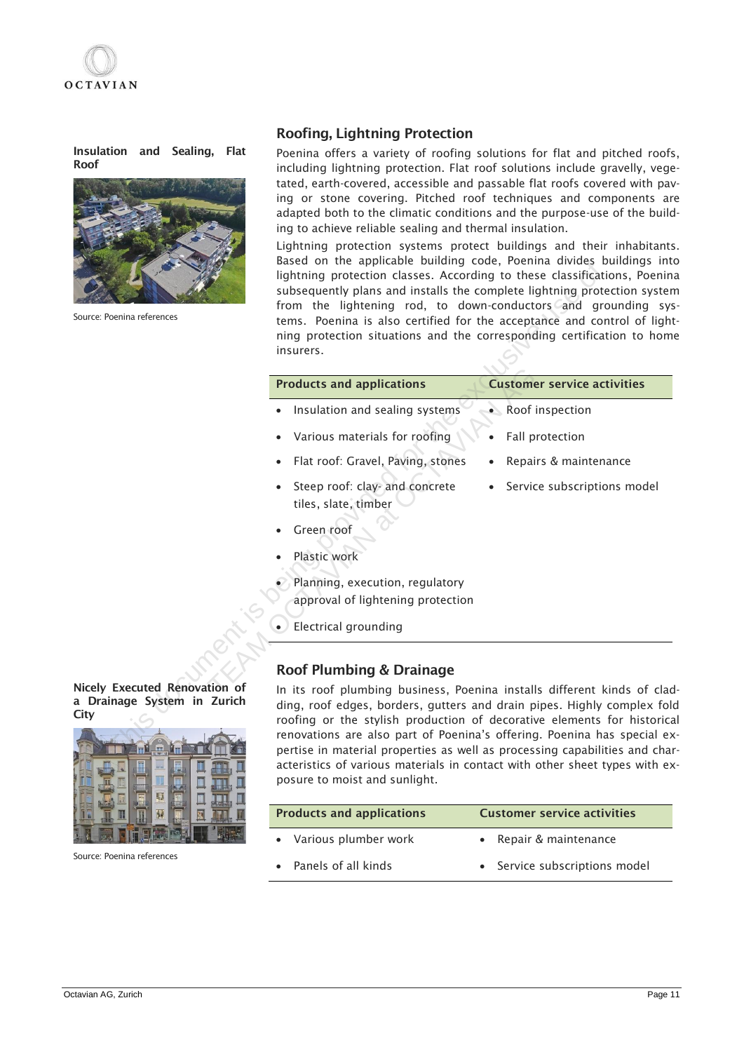

Insulation and Sealing, Flat Roof



Source: Poenina references

## Roofing, Lightning Protection

Poenina offers a variety of roofing solutions for flat and pitched roofs, including lightning protection. Flat roof solutions include gravelly, vegetated, earth-covered, accessible and passable flat roofs covered with paving or stone covering. Pitched roof techniques and components are adapted both to the climatic conditions and the purpose-use of the building to achieve reliable sealing and thermal insulation.

Lightning protection systems protect buildings and their inhabitants. Based on the applicable building code, Poenina divides buildings into lightning protection classes. According to these classifications, Poenina subsequently plans and installs the complete lightning protection system from the lightening rod, to down-conductors and grounding systems. Poenina is also certified for the acceptance and control of lightning protection situations and the corresponding certification to home insurers.

| Poenina references                                      | based on the applicable building code, roemina divides buildings int<br>lightning protection classes. According to these classifications, Poenin<br>subsequently plans and installs the complete lightning protection syster<br>from the lightening rod, to down-conductors and grounding sys<br>tems. Poenina is also certified for the acceptance and control of light<br>ning protection situations and the corresponding certification to hom<br>insurers. |                                    |  |  |  |  |  |  |  |
|---------------------------------------------------------|----------------------------------------------------------------------------------------------------------------------------------------------------------------------------------------------------------------------------------------------------------------------------------------------------------------------------------------------------------------------------------------------------------------------------------------------------------------|------------------------------------|--|--|--|--|--|--|--|
|                                                         | <b>Products and applications</b>                                                                                                                                                                                                                                                                                                                                                                                                                               | <b>Customer service activities</b> |  |  |  |  |  |  |  |
|                                                         | Insulation and sealing systems                                                                                                                                                                                                                                                                                                                                                                                                                                 | • Roof inspection                  |  |  |  |  |  |  |  |
|                                                         | Various materials for roofing                                                                                                                                                                                                                                                                                                                                                                                                                                  | Fall protection                    |  |  |  |  |  |  |  |
|                                                         | Flat roof: Gravel, Paving, stones                                                                                                                                                                                                                                                                                                                                                                                                                              | Repairs & maintenance              |  |  |  |  |  |  |  |
|                                                         | Steep roof: clay- and concrete<br>tiles, slate, timber                                                                                                                                                                                                                                                                                                                                                                                                         | Service subscriptions model        |  |  |  |  |  |  |  |
|                                                         | Green roof<br>Plastic work                                                                                                                                                                                                                                                                                                                                                                                                                                     |                                    |  |  |  |  |  |  |  |
|                                                         | Planning, execution, regulatory<br>approval of lightening protection                                                                                                                                                                                                                                                                                                                                                                                           |                                    |  |  |  |  |  |  |  |
|                                                         | <b>Electrical grounding</b>                                                                                                                                                                                                                                                                                                                                                                                                                                    |                                    |  |  |  |  |  |  |  |
|                                                         | <b>Roof Plumbing &amp; Drainage</b>                                                                                                                                                                                                                                                                                                                                                                                                                            |                                    |  |  |  |  |  |  |  |
| <b>Executed Renovation of</b><br>inage System in Zurich | In its roof plumbing business, Poenina installs different kinds of clac<br>ding, roof edges, borders, gutters and drain pipes. Highly complex fold<br>roofing or the stylish production of decorative elements for historica<br>renovations are also part of Poenina's offering. Poenina has special ex<br>pertise in material properties as well as processing capabilities and chai                                                                          |                                    |  |  |  |  |  |  |  |

## Roof Plumbing & Drainage

In its roof plumbing business, Poenina installs different kinds of cladding, roof edges, borders, gutters and drain pipes. Highly complex fold roofing or the stylish production of decorative elements for historical renovations are also part of Poenina's offering. Poenina has special expertise in material properties as well as processing capabilities and characteristics of various materials in contact with other sheet types with exposure to moist and sunlight.

| <b>Products and applications</b> | <b>Customer service activities</b>       |  |  |  |  |  |  |
|----------------------------------|------------------------------------------|--|--|--|--|--|--|
| Various plumber work             | Repair & maintenance                     |  |  |  |  |  |  |
| Panels of all kinds              | Service subscriptions model<br>$\bullet$ |  |  |  |  |  |  |

Nicely Executed Renovation of a Drainage System in Zurich **City** 



Source: Poenina references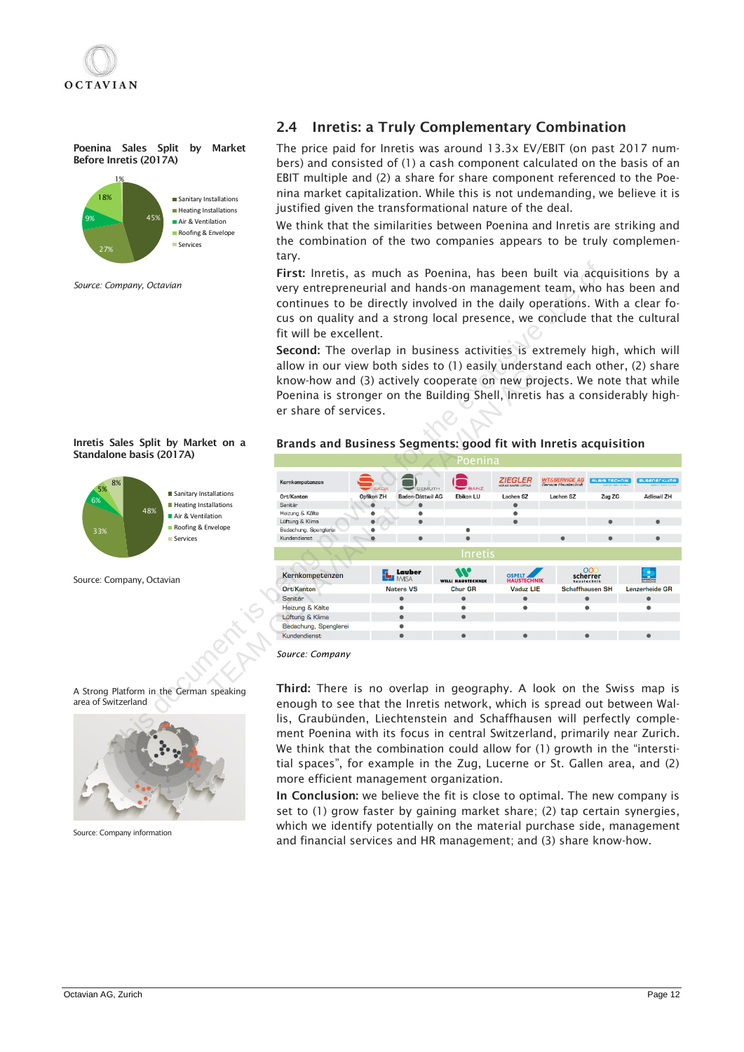

Poenina Sales Split by Market Before Inretis (2017A)



Inretis Sales Split by Market on a

Sanitary Installations **Heating Installations** Air & Ventilation Roofing & Envelope Services

48%

Standalone basis (2017A)

Source: Company, Octavian

33%

 $6\%$ 5% 8%

*Source: Company, Octavian* 

## 2.4 Inretis: a Truly Complementary Combination

The price paid for Inretis was around 13.3x EV/EBIT (on past 2017 numbers) and consisted of (1) a cash component calculated on the basis of an EBIT multiple and (2) a share for share component referenced to the Poenina market capitalization. While this is not undemanding, we believe it is justified given the transformational nature of the deal.

We think that the similarities between Poenina and Inretis are striking and the combination of the two companies appears to be truly complementary.

First: Inretis, as much as Poenina, has been built via acquisitions by a very entrepreneurial and hands-on management team, who has been and continues to be directly involved in the daily operations. With a clear focus on quality and a strong local presence, we conclude that the cultural fit will be excellent.

Second: The overlap in business activities is extremely high, which will allow in our view both sides to (1) easily understand each other, (2) share know-how and (3) actively cooperate on new projects. We note that while Poenina is stronger on the Building Shell, Inretis has a considerably higher share of services.

#### Brands and Business Segments: good fit with Inretis acquisition



*Source: Company*

Third: There is no overlap in geography. A look on the Swiss map is enough to see that the Inretis network, which is spread out between Wallis, Graubünden, Liechtenstein and Schaffhausen will perfectly complement Poenina with its focus in central Switzerland, primarily near Zurich. We think that the combination could allow for (1) growth in the "interstitial spaces", for example in the Zug, Lucerne or St. Gallen area, and (2) more efficient management organization.

In Conclusion: we believe the fit is close to optimal. The new company is set to (1) grow faster by gaining market share; (2) tap certain synergies, which we identify potentially on the material purchase side, management and financial services and HR management; and (3) share know-how.





Source: Company information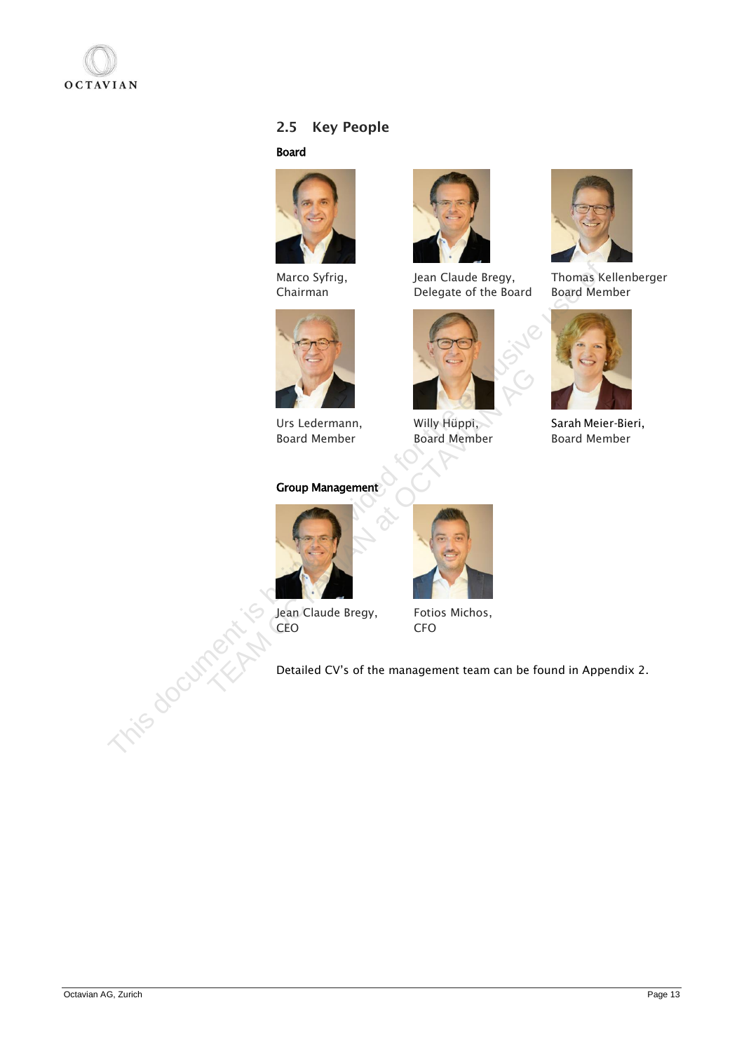

## 2.5 Key People

#### Board



Marco Syfrig, Chairman



Urs Ledermann, Board Member

## Group Management



Jean Claude Bregy, CEO



Jean Claude Bregy, Delegate of the Board



Willy Hüppi, Board Member



Thomas Kellenberger Board Member



Sarah Meier-Bieri, Board Member





Fotios Michos, CFO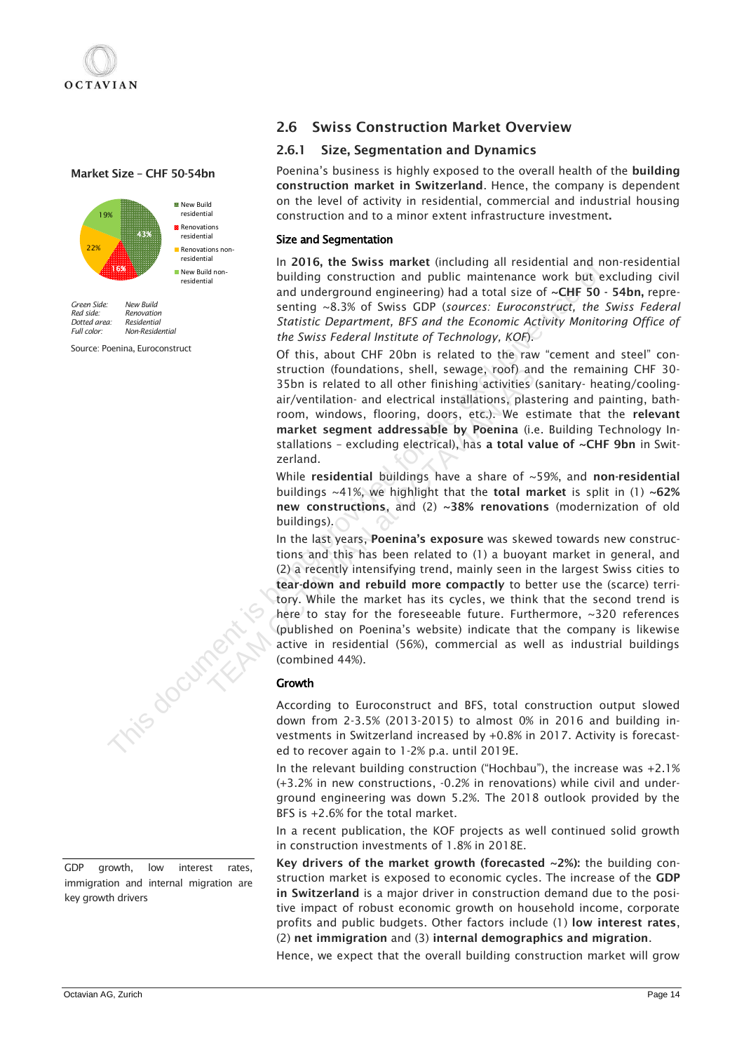## Market Size – CHF 50-54bn



*Green Side: New Build Red side: Renovation Dotted area:*<br>Full color: *Full color: Non-Residential*

Source: Poenina, Euroconstruct



GDP growth, low interest rates, immigration and internal migration are key growth drivers

## 2.6 Swiss Construction Market Overview

#### 2.6.1 Size, Segmentation and Dynamics

Poenina's business is highly exposed to the overall health of the building construction market in Switzerland. Hence, the company is dependent on the level of activity in residential, commercial and industrial housing construction and to a minor extent infrastructure investment.

## Size and Segmentation

In 2016, the Swiss market (including all residential and non-residential building construction and public maintenance work but excluding civil and underground engineering) had a total size of  $\sim$ CHF 50 - 54bn, representing ~8.3% of Swiss GDP (*sources: Euroconstruct, the Swiss Federal Statistic Department, BFS and the Economic Activity Monitoring Office of the Swiss Federal Institute of Technology, KOF*).

Of this, about CHF 20bn is related to the raw "cement and steel" construction (foundations, shell, sewage, roof) and the remaining CHF 30- 35bn is related to all other finishing activities (sanitary- heating/coolingair/ventilation- and electrical installations, plastering and painting, bathroom, windows, flooring, doors, etc.). We estimate that the relevant market segment addressable by Poenina (i.e. Building Technology Installations – excluding electrical), has a total value of ~CHF 9bn in Switzerland.

While residential buildings have a share of  $\sim$ 59%, and non-residential buildings  $\sim$ 41%, we highlight that the total market is split in (1)  $\sim$ 62% new constructions, and (2) ~38% renovations (modernization of old buildings).

In the last years, Poenina's exposure was skewed towards new constructions and this has been related to (1) a buoyant market in general, and (2) a recently intensifying trend, mainly seen in the largest Swiss cities to tear-down and rebuild more compactly to better use the (scarce) territory. While the market has its cycles, we think that the second trend is here to stay for the foreseeable future. Furthermore, ~320 references (published on Poenina's website) indicate that the company is likewise active in residential (56%), commercial as well as industrial buildings (combined 44%). The and underground engineering of the activation and public maintenance work but<br>and underground engineering) had a total size of  $-C\text{Hf}$  is and  $\frac{a \cos \theta}{\sin \theta}$ ,  $\frac{a \sin \theta}{\cos \theta}$ ,  $\frac{a \sin \theta}{\cos \theta}$ ,  $\frac{a \sin \theta}{\cos \theta}$ , struction (foundations, shell, sewage, roof) and<br>35bn is related to all other finishing activities (s<br>air/ventilation- and electrical installations, plast<br>room, windows, flooring, doors, etc.). We est<br>market segment addre

#### Growth

According to Euroconstruct and BFS, total construction output slowed down from 2-3.5% (2013-2015) to almost 0% in 2016 and building investments in Switzerland increased by +0.8% in 2017. Activity is forecasted to recover again to 1-2% p.a. until 2019E.

In the relevant building construction ("Hochbau"), the increase was +2.1% (+3.2% in new constructions, -0.2% in renovations) while civil and underground engineering was down 5.2%. The 2018 outlook provided by the BFS is +2.6% for the total market.

In a recent publication, the KOF projects as well continued solid growth in construction investments of 1.8% in 2018E.

Key drivers of the market growth (forecasted  $\sim$ 2%): the building construction market is exposed to economic cycles. The increase of the GDP in Switzerland is a major driver in construction demand due to the positive impact of robust economic growth on household income, corporate profits and public budgets. Other factors include (1) low interest rates, (2) net immigration and (3) internal demographics and migration.

Hence, we expect that the overall building construction market will grow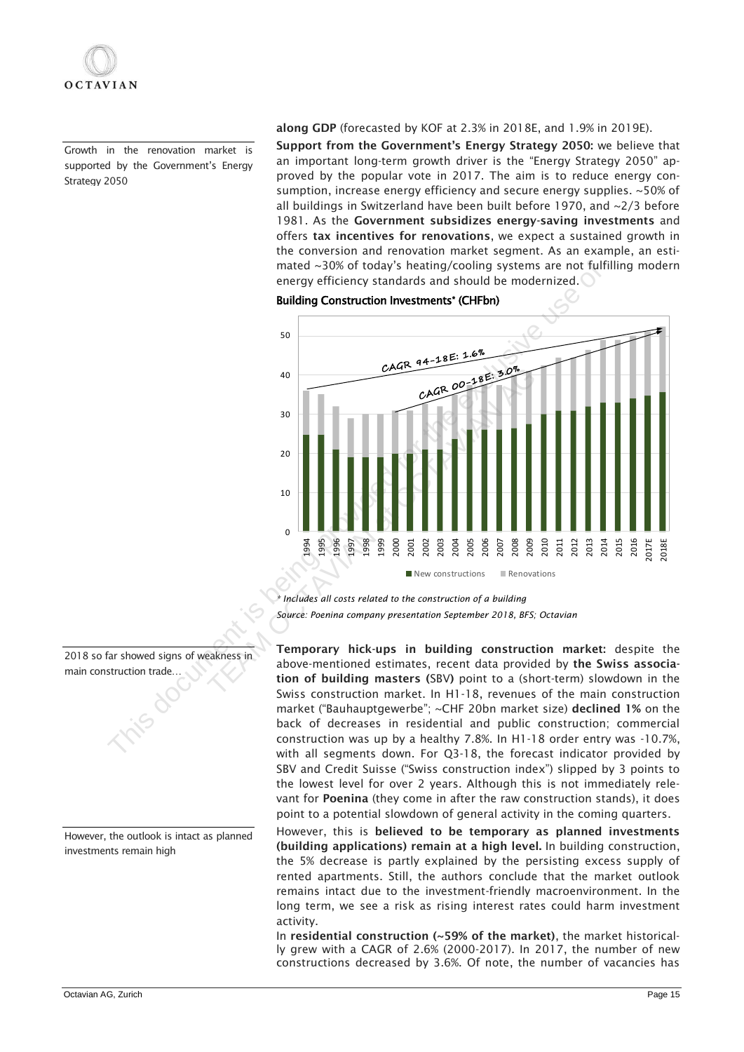Growth in the renovation market is supported by the Government's Energy Strategy 2050

along GDP (forecasted by KOF at 2.3% in 2018E, and 1.9% in 2019E).

Support from the Government's Energy Strategy 2050: we believe that an important long-term growth driver is the "Energy Strategy 2050" approved by the popular vote in 2017. The aim is to reduce energy consumption, increase energy efficiency and secure energy supplies. ~50% of all buildings in Switzerland have been built before 1970, and ~2/3 before 1981. As the Government subsidizes energy-saving investments and offers tax incentives for renovations, we expect a sustained growth in the conversion and renovation market segment. As an example, an estimated ~30% of today's heating/cooling systems are not fulfilling modern energy efficiency standards and should be modernized.

Building Construction Investments\* (CHFbn)



*\* Includes all costs related to the construction of a building Source: Poenina company presentation September 2018, BFS; Octavian*

Temporary hick-ups in building construction market: despite the above-mentioned estimates, recent data provided by the Swiss association of building masters (SBV) point to a (short-term) slowdown in the Swiss construction market. In H1-18, revenues of the main construction market ("Bauhauptgewerbe"; ~CHF 20bn market size) declined 1% on the back of decreases in residential and public construction; commercial construction was up by a healthy 7.8%. In H1-18 order entry was -10.7%, with all segments down. For Q3-18, the forecast indicator provided by SBV and Credit Suisse ("Swiss construction index") slipped by 3 points to the lowest level for over 2 years. Although this is not immediately relevant for Poenina (they come in after the raw construction stands), it does point to a potential slowdown of general activity in the coming quarters.

However, this is believed to be temporary as planned investments (building applications) remain at a high level. In building construction, the 5% decrease is partly explained by the persisting excess supply of rented apartments. Still, the authors conclude that the market outlook remains intact due to the investment-friendly macroenvironment. In the long term, we see a risk as rising interest rates could harm investment activity.

In residential construction (~59% of the market), the market historically grew with a CAGR of 2.6% (2000-2017). In 2017, the number of new constructions decreased by 3.6%. Of note, the number of vacancies has

2018 so far showed signs of weakness in main construction trade…

However, the outlook is intact as planned investments remain high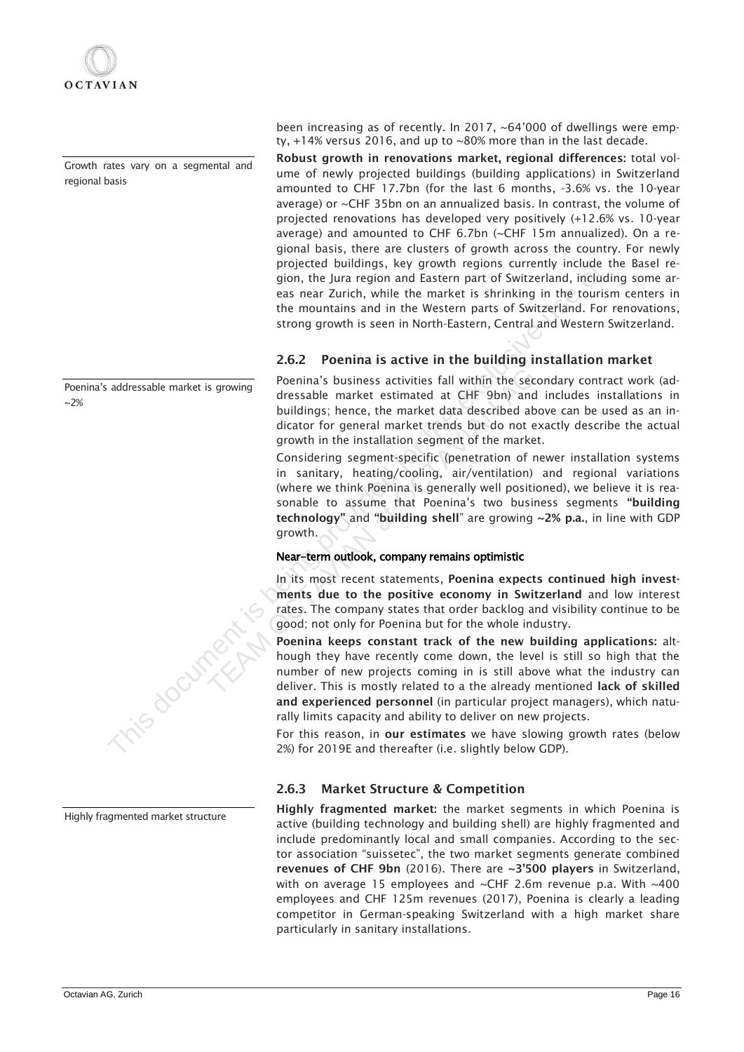Growth rates vary on a segmental and regional basis

Poenina's addressable market is growing  $~2%$ 



Highly fragmented market structure

been increasing as of recently. In 2017, ~64'000 of dwellings were empty, +14% versus 2016, and up to ~80% more than in the last decade.

Robust growth in renovations market, regional differences: total volume of newly projected buildings (building applications) in Switzerland amounted to CHF 17.7bn (for the last 6 months, -3.6% vs. the 10-year average) or ~CHF 35bn on an annualized basis. In contrast, the volume of projected renovations has developed very positively (+12.6% vs. 10-year average) and amounted to CHF 6.7bn (~CHF 15m annualized). On a regional basis, there are clusters of growth across the country. For newly projected buildings, key growth regions currently include the Basel region, the Jura region and Eastern part of Switzerland, including some areas near Zurich, while the market is shrinking in the tourism centers in the mountains and in the Western parts of Switzerland. For renovations, strong growth is seen in North-Eastern, Central and Western Switzerland.

## 2.6.2 Poenina is active in the building installation market

Poenina's business activities fall within the secondary contract work (addressable market estimated at CHF 9bn) and includes installations in buildings; hence, the market data described above can be used as an indicator for general market trends but do not exactly describe the actual growth in the installation segment of the market.

Considering segment-specific (penetration of newer installation systems in sanitary, heating/cooling, air/ventilation) and regional variations (where we think Poenina is generally well positioned), we believe it is reasonable to assume that Poenina's two business segments "building technology" and "building shell" are growing ~2% p.a., in line with GDP growth. Poenina's business activities fall within the second ressable market estimated at CHF 9bn) and buildings; hence, the market data described abc dicator for general market trends but do not ex growth in the installation segm

## Near-term outlook, company remains optimistic

In its most recent statements, Poenina expects continued high investments due to the positive economy in Switzerland and low interest rates. The company states that order backlog and visibility continue to be good; not only for Poenina but for the whole industry.

Poenina keeps constant track of the new building applications: although they have recently come down, the level is still so high that the number of new projects coming in is still above what the industry can deliver. This is mostly related to a the already mentioned lack of skilled and experienced personnel (in particular project managers), which naturally limits capacity and ability to deliver on new projects. projected bullangs, key growntr regions currently include ass near Zurich, while the market is shrinking in the bundel the mountains and in the Western part of Switzerland. For the mountains and in the Western part of Swit

For this reason, in our estimates we have slowing growth rates (below 2%) for 2019E and thereafter (i.e. slightly below GDP).

## 2.6.3 Market Structure & Competition

Highly fragmented market: the market segments in which Poenina is active (building technology and building shell) are highly fragmented and include predominantly local and small companies. According to the sector association "suissetec", the two market segments generate combined revenues of CHF 9bn (2016). There are ~3'500 players in Switzerland, with on average 15 employees and  $\sim$ CHF 2.6m revenue p.a. With  $\sim$ 400 employees and CHF 125m revenues (2017), Poenina is clearly a leading competitor in German-speaking Switzerland with a high market share particularly in sanitary installations.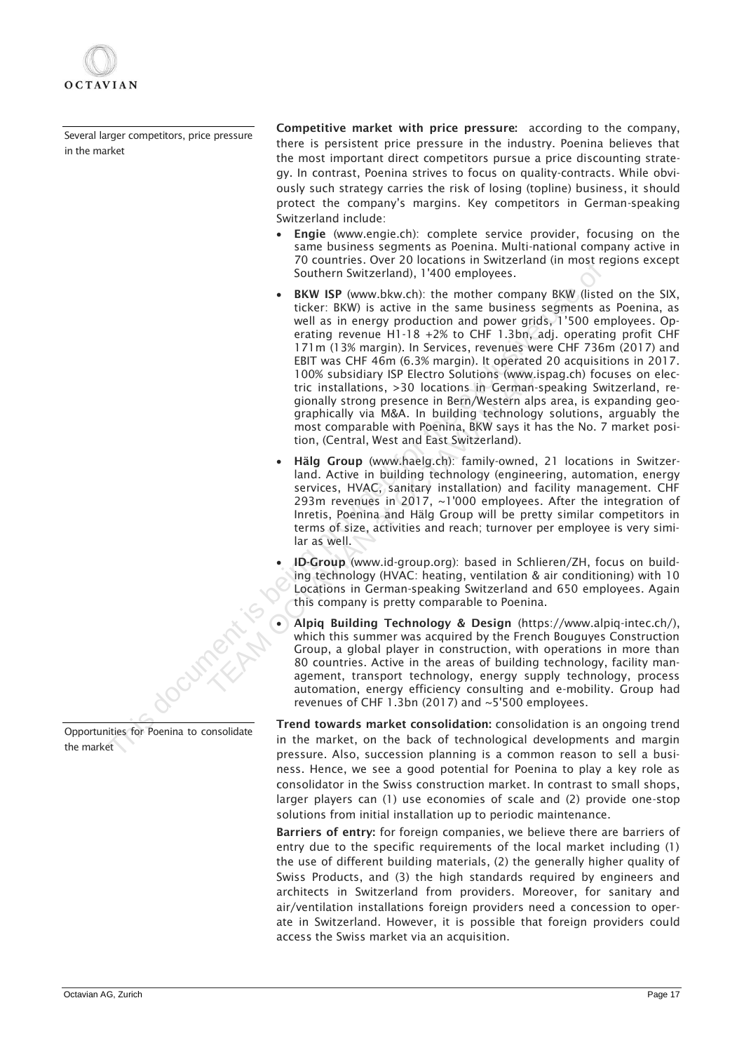

Several larger competitors, price pressure in the market

Competitive market with price pressure: according to the company, there is persistent price pressure in the industry. Poenina believes that the most important direct competitors pursue a price discounting strategy. In contrast, Poenina strives to focus on quality-contracts. While obviously such strategy carries the risk of losing (topline) business, it should protect the company's margins. Key competitors in German-speaking Switzerland include:

- Engie (www.engie.ch): complete service provider, focusing on the same business segments as Poenina. Multi-national company active in 70 countries. Over 20 locations in Switzerland (in most regions except Southern Switzerland), 1'400 employees.
- BKW ISP (www.bkw.ch): the mother company BKW (listed on the SIX, ticker: BKW) is active in the same business segments as Poenina, as well as in energy production and power grids, 1'500 employees. Operating revenue H1-18 +2% to CHF 1.3bn, adj. operating profit CHF 171m (13% margin). In Services, revenues were CHF 736m (2017) and EBIT was CHF 46m (6.3% margin). It operated 20 acquisitions in 2017. 100% subsidiary ISP Electro Solutions (www.ispag.ch) focuses on electric installations, >30 locations in German-speaking Switzerland, regionally strong presence in Bern/Western alps area, is expanding geographically via M&A. In building technology solutions, arguably the most comparable with Poenina, BKW says it has the No. 7 market position, (Central, West and East Switzerland). For William Solution (Solution Solution Solution Solution Solution Solution Solution Solution Solution Solution Solution Solution Solution Solution Solution Solution Solution Solution Solution Selection Solution Solution S
	- Hälg Group (www.haelg.ch): family-owned, 21 locations in Switzerland. Active in building technology (engineering, automation, energy services, HVAC, sanitary installation) and facility management. CHF 293m revenues in 2017, ~1'000 employees. After the integration of Inretis, Poenina and Hälg Group will be pretty similar competitors in terms of size, activities and reach; turnover per employee is very similar as well. 100% subsidiary ISP Electro Solutions (www.is<br>
	tric installations, >30 locations in German-s<br>
	gionally strong presence in Bern/Western alps<br>
	graphically via M&A. In building technology<br>
	most comparable with Poenina, BKW s
		- ID-Group (www.id-group.org): based in Schlieren/ZH, focus on building technology (HVAC: heating, ventilation & air conditioning) with 10 Locations in German-speaking Switzerland and 650 employees. Again this company is pretty comparable to Poenina.
		- Alpiq Building Technology & Design [\(https://www.alpiq-intec.ch/\)](https://www.alpiq-intec.ch/), which this summer was acquired by the French Bouguyes Construction Group, a global player in construction, with operations in more than 80 countries. Active in the areas of building technology, facility management, transport technology, energy supply technology, process automation, energy efficiency consulting and e-mobility. Group had revenues of CHF 1.3bn (2017) and ~5'500 employees.

Trend towards market consolidation: consolidation is an ongoing trend in the market, on the back of technological developments and margin pressure. Also, succession planning is a common reason to sell a business. Hence, we see a good potential for Poenina to play a key role as consolidator in the Swiss construction market. In contrast to small shops, larger players can (1) use economies of scale and (2) provide one-stop solutions from initial installation up to periodic maintenance.

Barriers of entry: for foreign companies, we believe there are barriers of entry due to the specific requirements of the local market including (1) the use of different building materials, (2) the generally higher quality of Swiss Products, and (3) the high standards required by engineers and architects in Switzerland from providers. Moreover, for sanitary and air/ventilation installations foreign providers need a concession to operate in Switzerland. However, it is possible that foreign providers could access the Swiss market via an acquisition.

Opportunities for Poenina to consolidate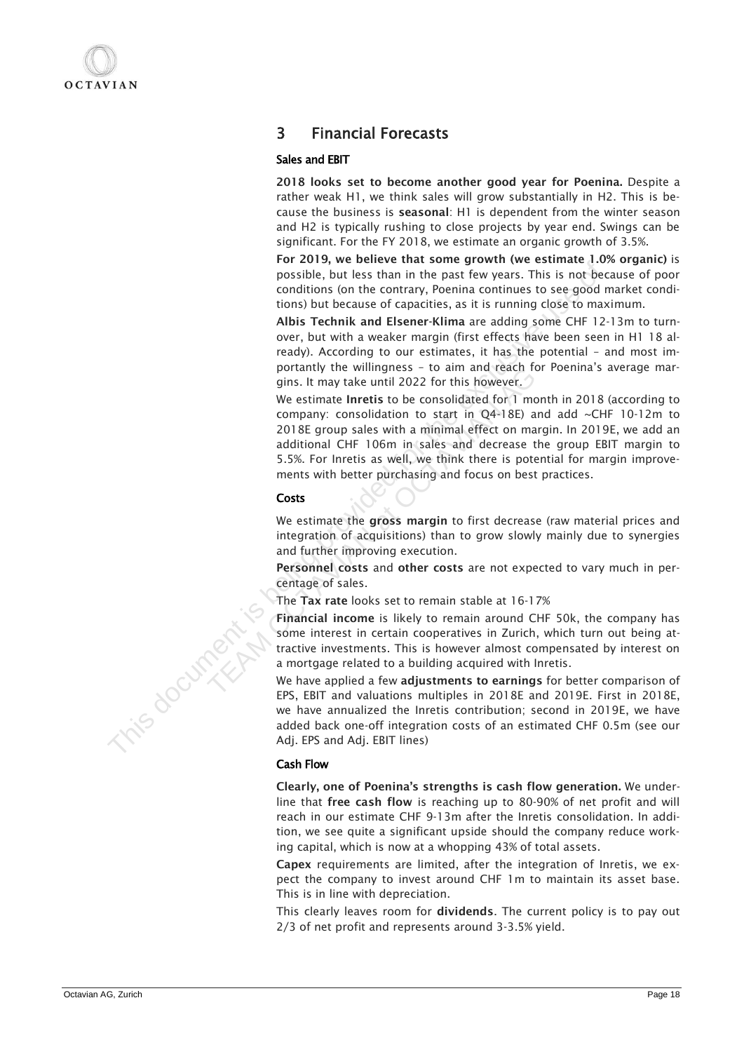## 3 Financial Forecasts

## Sales and EBIT

2018 looks set to become another good year for Poenina. Despite a rather weak H1, we think sales will grow substantially in H2. This is because the business is seasonal: H1 is dependent from the winter season and H2 is typically rushing to close projects by year end. Swings can be significant. For the FY 2018, we estimate an organic growth of 3.5%.

For 2019, we believe that some growth (we estimate 1.0% organic) is possible, but less than in the past few years. This is not because of poor conditions (on the contrary, Poenina continues to see good market conditions) but because of capacities, as it is running close to maximum.

Albis Technik and Elsener-Klima are adding some CHF 12-13m to turnover, but with a weaker margin (first effects have been seen in H1 18 already). According to our estimates, it has the potential – and most importantly the willingness – to aim and reach for Poenina's average margins. It may take until 2022 for this however.

We estimate Inretis to be consolidated for 1 month in 2018 (according to company: consolidation to start in Q4-18E) and add ~CHF 10-12m to 2018E group sales with a minimal effect on margin. In 2019E, we add an additional CHF 106m in sales and decrease the group EBIT margin to 5.5%. For Inretis as well, we think there is potential for margin improvements with better purchasing and focus on best practices. The state of the contract of the control wite Cause and the exclusion (solicity) and control to the control to the control to the control to the control to the control the excelusion (solicit) and the excelusive use of cap portantly the will 2022 for this and teach for<br>girs. It may take until 2022 for this however.<br>We estimate Inrettis to be consolidated for 1 mor<br>company: consolidation to start in Q4-18E) an<br>2018E group sales with a minimal

## **Costs**

We estimate the gross margin to first decrease (raw material prices and integration of acquisitions) than to grow slowly mainly due to synergies and further improving execution.

Personnel costs and other costs are not expected to vary much in percentage of sales.

The Tax rate looks set to remain stable at 16-17%

Financial income is likely to remain around CHF 50k, the company has some interest in certain cooperatives in Zurich, which turn out being attractive investments. This is however almost compensated by interest on a mortgage related to a building acquired with Inretis.

We have applied a few adjustments to earnings for better comparison of EPS, EBIT and valuations multiples in 2018E and 2019E. First in 2018E, we have annualized the Inretis contribution; second in 2019E, we have added back one-off integration costs of an estimated CHF 0.5m (see our Adj. EPS and Adj. EBIT lines)

## Cash Flow

Clearly, one of Poenina's strengths is cash flow generation. We underline that free cash flow is reaching up to 80-90% of net profit and will reach in our estimate CHF 9-13m after the Inretis consolidation. In addition, we see quite a significant upside should the company reduce working capital, which is now at a whopping 43% of total assets.

Capex requirements are limited, after the integration of Inretis, we expect the company to invest around CHF 1m to maintain its asset base. This is in line with depreciation.

This clearly leaves room for dividends. The current policy is to pay out 2/3 of net profit and represents around 3-3.5% yield.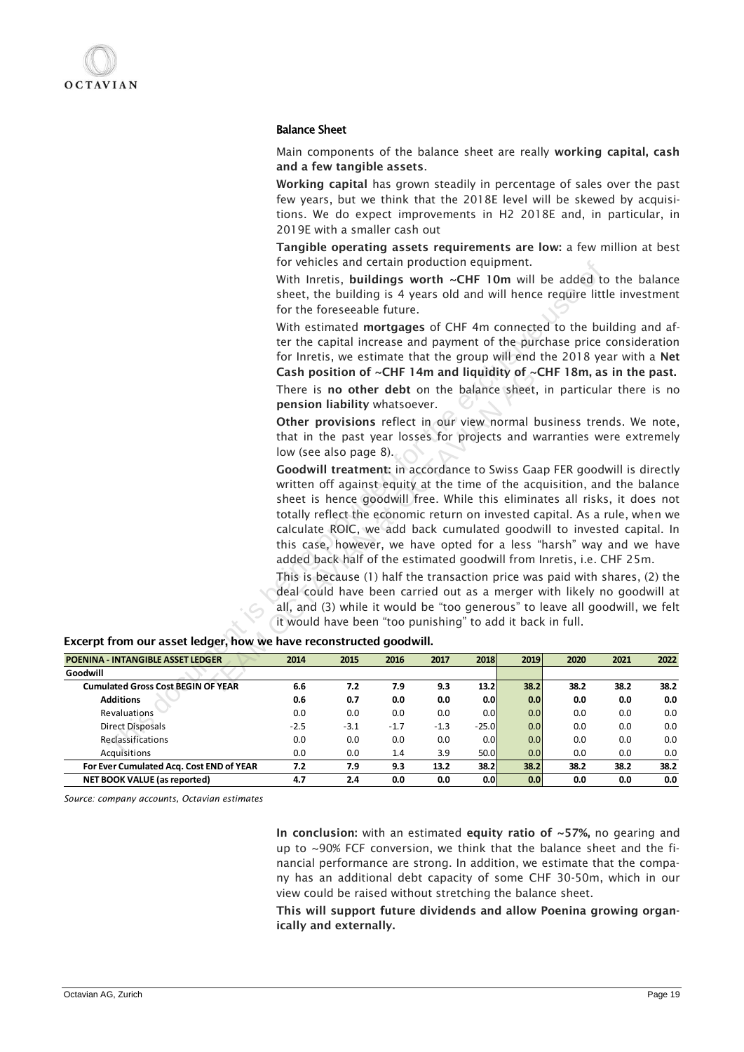#### Balance Sheet

Main components of the balance sheet are really working capital, cash and a few tangible assets.

Working capital has grown steadily in percentage of sales over the past few years, but we think that the 2018E level will be skewed by acquisitions. We do expect improvements in H2 2018E and, in particular, in 2019E with a smaller cash out

Tangible operating assets requirements are low: a few million at best for vehicles and certain production equipment.

|                                                                    |                                                                                                                                                                                                                                                                                                                                                                                                                                                                                                        | Tor venicles and certain production equipment.             |            |             |         |             |                                                                                                                                                                                                                                                                                                                                                                                                                                                                                                                                                                                                                                                                                                                                                                                           |             |             |  |
|--------------------------------------------------------------------|--------------------------------------------------------------------------------------------------------------------------------------------------------------------------------------------------------------------------------------------------------------------------------------------------------------------------------------------------------------------------------------------------------------------------------------------------------------------------------------------------------|------------------------------------------------------------|------------|-------------|---------|-------------|-------------------------------------------------------------------------------------------------------------------------------------------------------------------------------------------------------------------------------------------------------------------------------------------------------------------------------------------------------------------------------------------------------------------------------------------------------------------------------------------------------------------------------------------------------------------------------------------------------------------------------------------------------------------------------------------------------------------------------------------------------------------------------------------|-------------|-------------|--|
|                                                                    | With Inretis, buildings worth ~CHF 10m will be added to the balance<br>sheet, the building is 4 years old and will hence require little investment<br>for the foreseeable future.<br>With estimated mortgages of CHF 4m connected to the building and af-<br>ter the capital increase and payment of the purchase price consideration<br>for Inretis, we estimate that the group will end the 2018 year with a Net<br>Cash position of $\sim$ CHF 14m and liquidity of $\sim$ CHF 18m, as in the past. |                                                            |            |             |         |             |                                                                                                                                                                                                                                                                                                                                                                                                                                                                                                                                                                                                                                                                                                                                                                                           |             |             |  |
|                                                                    |                                                                                                                                                                                                                                                                                                                                                                                                                                                                                                        |                                                            |            |             |         |             |                                                                                                                                                                                                                                                                                                                                                                                                                                                                                                                                                                                                                                                                                                                                                                                           |             |             |  |
|                                                                    |                                                                                                                                                                                                                                                                                                                                                                                                                                                                                                        | pension liability whatsoever.                              |            |             |         |             | There is no other debt on the balance sheet, in particular there is no                                                                                                                                                                                                                                                                                                                                                                                                                                                                                                                                                                                                                                                                                                                    |             |             |  |
|                                                                    | Other provisions reflect in our view normal business trends. We note,<br>that in the past year losses for projects and warranties were extremely<br>low (see also page 8).                                                                                                                                                                                                                                                                                                                             |                                                            |            |             |         |             |                                                                                                                                                                                                                                                                                                                                                                                                                                                                                                                                                                                                                                                                                                                                                                                           |             |             |  |
| Excerpt from our asset ledger, how we have reconstructed goodwill. |                                                                                                                                                                                                                                                                                                                                                                                                                                                                                                        | it would have been "too punishing" to add it back in full. |            |             |         |             | Goodwill treatment: in accordance to Swiss Gaap FER goodwill is directly<br>written off against equity at the time of the acquisition, and the balance<br>sheet is hence goodwill free. While this eliminates all risks, it does not<br>totally reflect the economic return on invested capital. As a rule, when we<br>calculate ROIC, we add back cumulated goodwill to invested capital. In<br>this case, however, we have opted for a less "harsh" way and we have<br>added back half of the estimated goodwill from Inretis, i.e. CHF 25m.<br>This is because (1) half the transaction price was paid with shares, (2) the<br>deal could have been carried out as a merger with likely no goodwill at<br>all, and (3) while it would be "too generous" to leave all goodwill, we felt |             |             |  |
| POENINA - INTANGIBLE ASSET LEDGER                                  | 2014                                                                                                                                                                                                                                                                                                                                                                                                                                                                                                   | 2015                                                       | 2016       | 2017        | 2018    | 2019        | 2020                                                                                                                                                                                                                                                                                                                                                                                                                                                                                                                                                                                                                                                                                                                                                                                      | 2021        | 2022        |  |
| Goodwill                                                           |                                                                                                                                                                                                                                                                                                                                                                                                                                                                                                        |                                                            |            |             |         |             |                                                                                                                                                                                                                                                                                                                                                                                                                                                                                                                                                                                                                                                                                                                                                                                           |             |             |  |
| <b>Cumulated Gross Cost BEGIN OF YEAR</b>                          | 6.6                                                                                                                                                                                                                                                                                                                                                                                                                                                                                                    | 7.2                                                        | 7.9        | 9.3         | 13.2    | 38.2        | 38.2                                                                                                                                                                                                                                                                                                                                                                                                                                                                                                                                                                                                                                                                                                                                                                                      | 38.2        | 38.2        |  |
| <b>Additions</b>                                                   | 0.6                                                                                                                                                                                                                                                                                                                                                                                                                                                                                                    | 0.7                                                        | 0.0        | 0.0         | 0.0     | 0.0         | 0.0                                                                                                                                                                                                                                                                                                                                                                                                                                                                                                                                                                                                                                                                                                                                                                                       | 0.0         | 0.0         |  |
| <b>Revaluations</b>                                                | 0.0                                                                                                                                                                                                                                                                                                                                                                                                                                                                                                    | 0.0                                                        | 0.0        | 0.0         | 0.0     | 0.0         | 0.0                                                                                                                                                                                                                                                                                                                                                                                                                                                                                                                                                                                                                                                                                                                                                                                       | 0.0         | 0.0         |  |
| <b>Direct Disposals</b>                                            | -2.5                                                                                                                                                                                                                                                                                                                                                                                                                                                                                                   | $-3.1$                                                     | $-1.7$     | $-1.3$      | $-25.0$ | 0.0         | 0.0                                                                                                                                                                                                                                                                                                                                                                                                                                                                                                                                                                                                                                                                                                                                                                                       | 0.0         | 0.0         |  |
| Reclassifications                                                  | 0.0                                                                                                                                                                                                                                                                                                                                                                                                                                                                                                    | 0.0                                                        | 0.0        | 0.0         | 0.0     | 0.0         | 0.0                                                                                                                                                                                                                                                                                                                                                                                                                                                                                                                                                                                                                                                                                                                                                                                       | 0.0         | 0.0         |  |
| Acquisitions                                                       | 0.0                                                                                                                                                                                                                                                                                                                                                                                                                                                                                                    | 0.0                                                        | 1.4        | 3.9         | 50.0    | 0.0         | 0.0                                                                                                                                                                                                                                                                                                                                                                                                                                                                                                                                                                                                                                                                                                                                                                                       | 0.0         | 0.0         |  |
| For Ever Cumulated Acq. Cost END of YEAR                           | 7.2                                                                                                                                                                                                                                                                                                                                                                                                                                                                                                    | 7.9<br>2.4                                                 | 9.3<br>0.0 | 13.2<br>0.0 | 38.2    | 38.2<br>0.0 | 38.2<br>0.0                                                                                                                                                                                                                                                                                                                                                                                                                                                                                                                                                                                                                                                                                                                                                                               | 38.2<br>0.0 | 38.2<br>0.0 |  |
| <b>NET BOOK VALUE (as reported)</b>                                | 4.7                                                                                                                                                                                                                                                                                                                                                                                                                                                                                                    |                                                            |            |             | 0.0     |             |                                                                                                                                                                                                                                                                                                                                                                                                                                                                                                                                                                                                                                                                                                                                                                                           |             |             |  |

#### Excerpt from our asset ledger, how we have reconstructed goodwill.

*Source: company accounts, Octavian estimates*

In conclusion: with an estimated equity ratio of  $\sim$ 57%, no gearing and up to ~90% FCF conversion, we think that the balance sheet and the financial performance are strong. In addition, we estimate that the company has an additional debt capacity of some CHF 30-50m, which in our view could be raised without stretching the balance sheet.

This will support future dividends and allow Poenina growing organically and externally.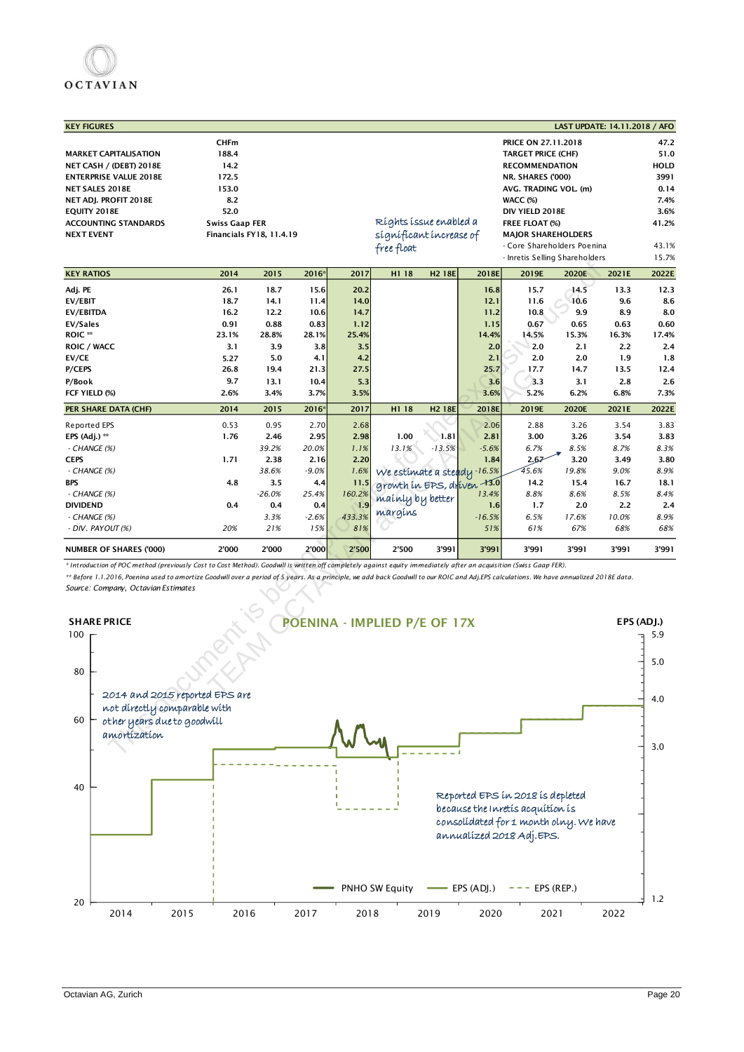| <b>KEY FIGURES</b>                                                                                                                                                                        |                                 |          |         |        |                              |                    |          |                           |                                | LAST UPDATE: 14.11.2018 / AFO |            |
|-------------------------------------------------------------------------------------------------------------------------------------------------------------------------------------------|---------------------------------|----------|---------|--------|------------------------------|--------------------|----------|---------------------------|--------------------------------|-------------------------------|------------|
|                                                                                                                                                                                           | <b>CHFm</b>                     |          |         |        |                              |                    |          | PRICE ON 27.11.2018       |                                |                               | 47.2       |
| <b>MARKET CAPITALISATION</b>                                                                                                                                                              | 188.4                           |          |         |        |                              |                    |          | <b>TARGET PRICE (CHF)</b> |                                |                               | 51.0       |
| NET CASH / (DEBT) 2018E                                                                                                                                                                   | 14.2                            |          |         |        |                              |                    |          | <b>RECOMMENDATION</b>     |                                |                               | HOLD       |
| <b>ENTERPRISE VALUE 2018E</b>                                                                                                                                                             | 172.5                           |          |         |        |                              |                    |          | NR. SHARES ('000)         |                                |                               | 3991       |
| NET SALES 2018E                                                                                                                                                                           | 153.0                           |          |         |        |                              |                    |          | AVG. TRADING VOL. (m)     |                                |                               | 0.14       |
| NET ADJ. PROFIT 2018E                                                                                                                                                                     | 8.2                             |          |         |        |                              |                    |          | WACC (%)                  |                                |                               | 7.4%       |
| EQUITY 2018E                                                                                                                                                                              | 52.0                            |          |         |        |                              |                    |          | DIV YIELD 2018E           |                                |                               | 3.6%       |
| <b>ACCOUNTING STANDARDS</b>                                                                                                                                                               | <b>Swiss Gaap FER</b>           |          |         |        | Ríghts íssue enabled a       |                    |          | FREE FLOAT (%)            |                                |                               | 41.2%      |
| <b>NEXT EVENT</b>                                                                                                                                                                         | <b>Financials FY18, 11.4.19</b> |          |         |        | sígnificant increase of      |                    |          | <b>MAJOR SHAREHOLDERS</b> |                                |                               |            |
|                                                                                                                                                                                           |                                 |          |         |        | free float                   |                    |          |                           | - Core Shareholders Poenina    |                               | 43.1%      |
|                                                                                                                                                                                           |                                 |          |         |        |                              |                    |          |                           | - Inretis Selling Shareholders |                               | 15.7%      |
| <b>KEY RATIOS</b>                                                                                                                                                                         | 2014                            | 2015     | 2016*   | 2017   | H1 18                        | H <sub>2</sub> 18E | 2018E    | 2019E                     | 2020E                          | 2021E                         | 2022E      |
| Adj. PE                                                                                                                                                                                   | 26.1                            | 18.7     | 15.6    | 20.2   |                              |                    | 16.8     | 15.7                      | 14.5                           | 13.3                          | 12.3       |
| EV/EBIT                                                                                                                                                                                   | 18.7                            | 14.1     | 11.4    | 14.0   |                              |                    | 12.1     | 11.6                      | 10.6                           | 9.6                           | 8.6        |
| <b>EV/EBITDA</b>                                                                                                                                                                          | 16.2                            | 12.2     | 10.6    | 14.7   |                              |                    | 11.2     | 10.8                      | 9.9                            | 8.9                           | 8.0        |
| <b>EV/Sales</b>                                                                                                                                                                           | 0.91                            | 0.88     | 0.83    | 1.12   |                              |                    | 1.15     | 0.67                      | 0.65                           | 0.63                          | 0.60       |
| <b>ROIC</b> **                                                                                                                                                                            | 23.1%                           | 28.8%    | 28.1%   | 25.4%  |                              |                    | 14.4%    | 14.5%                     | 15.3%                          | 16.3%                         | 17.4%      |
| <b>ROIC / WACC</b>                                                                                                                                                                        | 3.1                             | 3.9      | 3.8     | 3.5    |                              |                    | 2.0      | 2.0                       | 2.1                            | 2.2                           | 2.4        |
| EV/CE                                                                                                                                                                                     | 5.27                            | 5.0      | 4.1     | 4.2    |                              |                    | 2.1      | 2.0                       | 2.0                            | 1.9                           | 1.8        |
| P/CEPS                                                                                                                                                                                    | 26.8                            | 19.4     | 21.3    | 27.5   |                              |                    | 25.7     | 17.7                      | 14.7                           | 13.5                          | 12.4       |
| P/Book                                                                                                                                                                                    | 9.7                             | 13.1     | 10.4    | 5.3    |                              |                    | 3.6      | 3.3                       | 3.1                            | 2.8                           | 2.6        |
| FCF YIELD (%)                                                                                                                                                                             | 2.6%                            | 3.4%     | 3.7%    | 3.5%   |                              |                    | 3.6%     | 5.2%                      | 6.2%                           | 6.8%                          | 7.3%       |
| PER SHARE DATA (CHF)                                                                                                                                                                      | 2014                            | 2015     | 2016    | 2017   | H1 18                        | H <sub>2</sub> 18E | 2018E    | 2019E                     | 2020E                          | 2021E                         | 2022E      |
| Reported EPS                                                                                                                                                                              | 0.53                            | 0.95     | 2.70    | 2.68   |                              |                    | 2.06     | 2.88                      | 3.26                           | 3.54                          | 3.83       |
| EPS (Adj.) **                                                                                                                                                                             | 1.76                            | 2.46     | 2.95    | 2.98   | 1.00                         | 1.81               | 2.81     | 3.00                      | 3.26                           | 3.54                          | 3.83       |
| - CHANGE (%)                                                                                                                                                                              |                                 | 39.2%    | 20.0%   | 1.1%   | 13.1%                        | $-13.5%$           | $-5.6%$  | 6.7%                      | 8.5%                           | 8.7%                          | 8.3%       |
| <b>CEPS</b>                                                                                                                                                                               | 1.71                            | 2.38     | 2.16    | 2.20   |                              |                    | 1.84     | 2.67                      | 3.20                           | 3.49                          | 3.80       |
| - CHANGE (%)                                                                                                                                                                              |                                 | 38.6%    | $-9.0%$ | 1.6%   | We estimate a steady -16.5%  |                    |          | 45.6%                     | 19.8%                          | 9.0%                          | 8.9%       |
| <b>BPS</b>                                                                                                                                                                                | 4.8                             | 3.5      | 4.4     | 11.5   | growth in EPS, driven 13.0   |                    |          | 14.2                      | 15.4                           | 16.7                          | 18.1       |
| - CHANGE (%)                                                                                                                                                                              |                                 | $-26.0%$ | 25.4%   | 160.2% | mainly by better             |                    | 13.4%    | 8.8%                      | 8.6%                           | 8.5%                          | 8.4%       |
| <b>DIVIDEND</b>                                                                                                                                                                           | 0.4                             | 0.4      | 0.4     | 1.9    |                              |                    | 1.6      | 1.7                       | 2.0                            | 2.2                           | 2.4        |
| - CHANGE (%)                                                                                                                                                                              |                                 | 3.3%     | $-2.6%$ | 433.3% | margins                      |                    | $-16.5%$ | 6.5%                      | 17.6%                          | 10.0%                         | 8.9%       |
| - DIV. PAYOUT (%)                                                                                                                                                                         | 20%                             | 21%      | 15%     | 81%    |                              |                    | 51%      | 61%                       | 67%                            | 68%                           | 68%        |
| <b>NUMBER OF SHARES ('000)</b>                                                                                                                                                            | 2'000                           | 2'000    | 2'000   | 2'500  | 2'500                        | 3'991              | 3'991    | 3'991                     | 3'991                          | 3'991                         | 3'991      |
| * Introduction of POC method (previously Cost to Cost Method). Goodwill is written off completely against equity immediately after an acquisition (Swiss Gaap FER).                       |                                 |          |         |        |                              |                    |          |                           |                                |                               |            |
| ** Before 1.1.2016, Poenina used to amortize Goodwill over a period of 5 years. As a principle, we add back Goodwill to our ROIC and Adj.EPS calculations. We have annualized 2018E data. |                                 |          |         |        |                              |                    |          |                           |                                |                               |            |
| Source: Company, Octavian Estimates                                                                                                                                                       |                                 |          |         |        |                              |                    |          |                           |                                |                               |            |
|                                                                                                                                                                                           |                                 |          |         |        |                              |                    |          |                           |                                |                               |            |
|                                                                                                                                                                                           |                                 |          |         |        |                              |                    |          |                           |                                |                               |            |
| <b>SHARE PRICE</b>                                                                                                                                                                        |                                 |          |         |        | POENINA - IMPLIED P/E OF 17X |                    |          |                           |                                |                               | EPS (ADJ.) |
| 100                                                                                                                                                                                       |                                 |          |         |        |                              |                    |          |                           |                                |                               | 5.9        |
|                                                                                                                                                                                           |                                 |          |         |        |                              |                    |          |                           |                                |                               |            |
|                                                                                                                                                                                           |                                 |          |         |        |                              |                    |          |                           |                                |                               |            |
| 80                                                                                                                                                                                        |                                 |          |         |        |                              |                    |          |                           |                                |                               | 5.0        |
|                                                                                                                                                                                           |                                 |          |         |        |                              |                    |          |                           |                                |                               |            |
| 2014 and 2015 reported EPS are                                                                                                                                                            |                                 |          |         |        |                              |                    |          |                           |                                |                               |            |
|                                                                                                                                                                                           |                                 |          |         |        |                              |                    |          |                           |                                |                               | 4.0        |
| not directly comparable with                                                                                                                                                              |                                 |          |         |        |                              |                    |          |                           |                                |                               |            |
| 60<br>other years due to goodwill                                                                                                                                                         |                                 |          |         |        |                              |                    |          |                           |                                |                               |            |
| amortization                                                                                                                                                                              |                                 |          |         |        |                              |                    |          |                           |                                |                               |            |
|                                                                                                                                                                                           |                                 |          |         |        |                              |                    |          |                           |                                |                               | 3.0        |
|                                                                                                                                                                                           |                                 |          |         |        |                              |                    |          |                           |                                |                               |            |

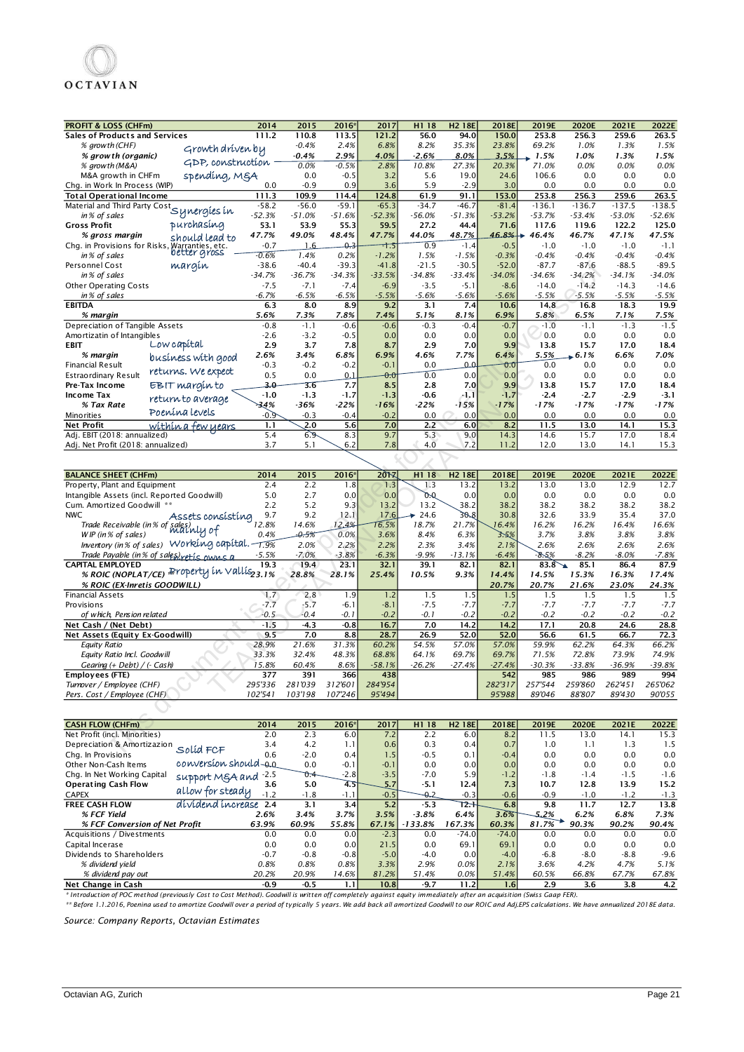| <b>PROFIT &amp; LOSS (CHFm)</b><br>2014                                                                 | 2015             | 2016             | 2017              | H1 18           | <b>H2 18E</b>      | 2018E               | 2019E             | 2020E                | 2021E             | 2022E             |
|---------------------------------------------------------------------------------------------------------|------------------|------------------|-------------------|-----------------|--------------------|---------------------|-------------------|----------------------|-------------------|-------------------|
| 111.2<br><b>Sales of Products and Services</b>                                                          | 110.8            | 113.5            | 121.2             | 56.0            | 94.0               | 150.0               | 253.8             | 256.3                | 259.6             | 263.5             |
| % growth (CHF)<br>Growth driven by                                                                      | $-0.4%$          | 2.4%             | 6.8%              | 8.2%            | 35.3%              | 23.8%               | 69.2%             | 1.0%                 | 1.3%              | 1.5%              |
| % grow th (organic)                                                                                     | $-0.4%$          | 2.9%             | 4.0%              | $-2.6%$         | 8.0%               | 3.5%                | 1.5%              | 1.0%                 | 1.3%              | 1.5%              |
| GDP, construction<br>% growth (M&A)                                                                     | 0.0%             | $-0.5%$          | 2.8%              | 10.8%           | 27.3%              | 20.3%               | 71.0%             | 0.0%                 | 0.0%              | 0.0%              |
| spending, MgA<br>M&A growth in CHFm                                                                     | 0.0              | $-0.5$           | 3.2               | 5.6             | 19.0               | 24.6                | 106.6             | 0.0                  | 0.0               | 0.0               |
| Chg. in Work In Process (WIP)<br>0.0                                                                    | $-0.9$           | 0.9              | 3.6               | 5.9             | $-2.9$             | 3.0                 | 0.0               | 0.0                  | 0.0               | 0.0               |
| <b>Total Operational Income</b><br>111.3                                                                | 109.9            | 114.4            | 124.8             | 61.9            | 91.1               | 153.0               | 253.8             | 256.3                | 259.6             | 263.5             |
| Material and Third Party Cost Synergies in<br>$-58.2$                                                   | $-56.0$          | $-59.1$          | $-65.3$           | $-34.7$         | $-46.7$            | $-81.4$<br>$-53.2%$ | $-136.1$          | $-136.7$             | $-137.5$          | $-138.5$          |
| $-52.3%$<br>purchasing<br><b>Gross Profit</b><br>53.1                                                   | $-51.0%$<br>53.9 | $-51.6%$<br>55.3 | $-52.3%$<br>59.5  | -56.0%<br>27.2  | $-51.3%$<br>44.4   | 71.6                | $-53.7%$<br>117.6 | $-53.4%$<br>119.6    | $-53.0%$<br>122.2 | $-52.6%$<br>125.0 |
| 47.7%<br>% gross margin                                                                                 | 49.0%            | 48.4%            | 47.7%             | 44.0%           | 48.7%              | 46.8%               | 46.4%<br>₩.       | 46.7%                | 47.1%             | 47.5%             |
| should lead to<br>$-0.7$                                                                                | 1.6              | 0.3              | -া:১              | 0.9             | $-1.4$             | $-0.5$              | $-1.0$            | $-1.0$               | $-1.0$            | $-1.1$            |
| Chg. in Provisions for Risks, Warranties, etc.<br>in % of sales better gross<br>$-0.6%$<br>in% of sales | 1.4%             | 0.2%             | $-1.2%$           | 1.5%            | $-1.5%$            | $-0.3%$             | $-0.4%$           | $-0.4%$              | $-0.4%$           | $-0.4%$           |
| Personnel Cost<br>margin<br>-38.6                                                                       | $-40.4$          | $-39.3$          | $-41.8$           | $-21.5$         | $-30.5$            | $-52.0$             | $-87.7$           | $-87.6$              | $-88.5$           | $-89.5$           |
| in % of sales<br>$-34.7%$                                                                               | $-36.7%$         | -34.3%           | $-33.5%$          | -34.8%          | $-33.4%$           | $-34.0%$            | $-34.6%$          | $-34.2%$             | $-34.1%$          | $-34.0%$          |
| <b>Other Operating Costs</b><br>$-7.5$                                                                  | $-7.1$           | $-7.4$           | $-6.9$            | $-3.5$          | $-5.1$             | $-8.6$              | $-14.0$           | $-14.2$              | $-14.3$           | $-14.6$           |
| $-6.7%$<br>in% of sales                                                                                 | $-6.5%$          | $-6.5%$          | $-5.5%$           | $-5.6%$         | $-5.6%$            | $-5.6%$             | $-5.5%$           | $-5.5%$              | $-5.5%$           | $-5.5%$           |
| <b>EBITDA</b><br>6.3                                                                                    | 8.0              | 8.9              | 9.2               | 3.1             | 7.4                | 10.6                | 14.8              | 16.8                 | 18.3              | 19.9              |
| % margin<br>5.6%                                                                                        | 7.3%             | 7.8%             | 7.4%              | 5.1%            | 8.1%               | 6.9%                | 5.8%              | 6.5%                 | 7.1%              | 7.5%              |
| Depreciation of Tangible Assets<br>$-0.8$<br>Amortizatin of Intangibles<br>$-2.6$                       | -1.1<br>$-3.2$   | $-0.6$<br>$-0.5$ | $-0.6$<br>0.0     | $-0.3$<br>0.0   | $-0.4$<br>0.0      | $-0.7$<br>0.0       | $-1.0$<br>0.0     | $-1.1$<br>0.0        | $-1.3$<br>0.0     | $-1.5$<br>0.0     |
| Low capital<br>2.9<br><b>EBIT</b>                                                                       | 3.7              | 7.8              | 8.7               | 2.9             | 7.0                | 9.9                 | 13.8              | 15.7                 | 17.0              | 18.4              |
| 2.6%<br>% margin<br>business with good                                                                  | 3.4%             | 6.8%             | 6.9%              | 4.6%            | 7.7%               | 6.4%                | 5.5%              | $\bullet$ 6.1%       | 6.6%              | 7.0%              |
| $-0.3$<br><b>Financial Result</b>                                                                       | $-0.2$           | $-0.2$           | $-0.1$            | 0.0             | مە                 | 0.0                 | 0.0               | 0.0                  | 0.0               | 0.0               |
| returns. We expect<br>0.5<br>Estraordinary Result                                                       | 0.0              | 0.1              | $_{\rm \theta.0}$ | 0.0             | 0.0                | 0.0                 | 0.0               | 0.0                  | 0.0               | 0.0               |
| EBIT margin to<br>3.0<br>Pre-Tax Income                                                                 | 3.6              | 7.7              | 8.5               | 2.8             | 7.0                | 9.9                 | 13.8              | 15.7                 | 17.0              | 18.4              |
| $-1.0$<br><b>Income Tax</b><br>return to average                                                        | $-1.3$           | $-1.7$           | $-1.3$            | $-0.6$          | $-1.1$             | $-1.7$              | $-2.4$            | $-2.7$               | $-2.9$            | $-3.1$            |
| 34%<br>% Tax Rate<br>Poenína levels                                                                     | -36%             | -22%             | $-16%$            | $-22%$          | $-15%$             | $-17%$              | $-17%$            | $-17%$               | -17%              | $-17%$            |
| -0.9<br><b>Minorities</b>                                                                               | $-0.3$           | $-0.4$           | $-0.2$            | 0.0             | 0.0                | 0.0                 | 0.0               | 0.0                  | 0.0               | 0.0               |
| <b>Net Profit</b><br>1.1<br><u>within a few years</u>                                                   | 2.0              | 5.6              | 7.0               | 2.2             | 6.0                | 8.2                 | 11.5              | 13.0                 | 14.1              | 15.3              |
| 5.4<br>Adj. EBIT (2018: annualized)                                                                     | 6.9              | 8.3              | 9.7               | 5.3             | 9.0<br>7.2         | 14.3                | 14.6              | 15.7                 | 17.0              | 18.4              |
| Adj. Net Profit (2018: annualized)<br>3.7                                                               | 5.1              | 6.2              | 7.8               | 4.0             |                    | 11.2                | 12.0              | 13.0                 | 14.1              | 15.3              |
| <b>BALANCE SHEET (CHFm)</b><br>2014                                                                     | 2015             | 2016             | 2017              | H1 18           | H <sub>2</sub> 18E | 2018E               | 2019E             | 2020E                | 2021E             | 2022E             |
| 2.4<br>Property, Plant and Equipment                                                                    | 2.2              | 1.8              | 1.3               | 1.3             | 13.2               | 13.2                | 13.0              | 13.0                 | 12.9              | 12.7              |
| Intangible Assets (incl. Reported Goodwill)<br>5.0                                                      | 2.7              | 0.0              | 0.0               | OQ.             | 0.0                | 0.0                 | 0.0               | 0.0                  | 0.0               | 0.0               |
| Cum. Amortized Goodwill **<br>2.2                                                                       | 5.2              | 9.3              | 13.2              | 13.2            | 38.2               | 38.2                | 38.2              | 38.2                 | 38.2              | 38.2              |
| <b>NWC</b><br>9.7<br>Assets consisting                                                                  | 9.2              | 12.1             | 17.6              | 24.6            | 30.8               | 30.8                | 32.6              | 33.9                 | 35.4              | 37.0              |
| .<br>Trade Receivable (in% of sales)<br>Mulhly of<br>12.8%                                              | 14.6%            | 12.4%            | 16.5%             | 18.7%           | 21.7%              | 16.4%               | 16.2%             | 16.2%                | 16.4%             | 16.6%             |
| W IP (in % of sales)<br>0.4%<br>Inventory (in % of sales) Working capital. $\overline{1.9\%}$           | $-0.5%$          | 0.0%             | 3.6%              | 8.4%            | 6.3%               | 3.5%                | 3.7%              | 3.8%                 | 3.8%              | 3.8%              |
|                                                                                                         | 2.0%             | 2.2%<br>$-3.8%$  | 2.2%              | 2.3%<br>$-9.9%$ | 3.4%               | 2.1%                | 2.6%              | 2.6%                 | 2.6%              | 2.6%              |
| Trade Payable (in % of sales) retis owns a<br>$-5.5%$<br><b>CAPITAL EMPLOYED</b><br>19.3                | $-7.0%$<br>19.4  | 23.1             | $-6.3%$<br>32.1   | 39.1            | $-13.1%$<br>82.1   | $-6.4%$<br>82.1     | $-8.5%$<br>83.8   | $-8.2%$<br>85.1<br>↘ | $-8.0%$<br>86.4   | $-7.8%$<br>87.9   |
| % ROIC (NOPLAT/CE) Property in Vallis <sub>23.1%</sub>                                                  | 28.8%            | 28.1%            | 25.4%             | 10.5%           | 9.3%               | 14.4%               | 14.5%             | 15.3%                | 16.3%             | 17.4%             |
| % ROIC (EX-Inretis GOODWILL)                                                                            |                  |                  |                   |                 |                    | 20.7%               | 20.7%             | 21.6%                | 23.0%             | 24.3%             |
| 1.7<br><b>Financial Assets</b>                                                                          | 2.8              | 1.9              | 1.2               | 1.5             | 1.5                | 1.5                 | 1.5               | 1.5                  | 1.5               | 1.5               |
| Provisions<br>$-7.7$                                                                                    | $-5.7$           | $-6.1$           | $-8.1$            | $-7.5$          | $-7.7$             | $-7.7$              | $-7.7$            | $-7.7$               | $-7.7$            | $-7.7$            |
| $-0.5$<br>of which, Pension related                                                                     | $-0.4$           | -0.1             | $-0.2$            | -0.1            | $-0.2$             | $-0.2$              | $-0.2$            | $-0.2$               | $-0.2$            | $-0.2$            |
| $-1.5$<br>Net Cash / (Net Debt)                                                                         | $-4.3$           | $-0.8$           | 16.7              | 7.0             | 14.2               | 14.2                | 17.1              | 20.8                 | 24.6              | 28.8              |
| 9.5<br>Net Assets (Equity Ex-Goodwill)                                                                  | 7.0              | 8.8              | 28.7              | 26.9            | 52.0               | 52.0                | 56.6              | 61.5                 | 66.7              | 72.3              |
| 28.9%<br><b>Equity Ratio</b>                                                                            | 21.6%            | 31.3%            | 60.2%             | 54.5%           | 57.0%              | 57.0%               | 59.9%             | 62.2%                | 64.3%             | 66.2%             |
| Equity Ratio Incl. Goodwill<br>33.3%                                                                    | 32.4%            | 48.3%            | 68.8%             | 64.1%           | 69.7%              | 69.7%               | 71.5%             | 72.8%                | 73.9%             | 74.9%             |
| Gearing (+ Debt) / (- Cash)<br>15.8%<br>Employees (FTE)<br>377                                          | 60.4%<br>391     | 8.6%<br>366      | $-58.1%$<br>438   | -26.2%          | $-27.4%$           | $-27.4%$<br>542     | $-30.3%$<br>985   | $-33.8%$<br>986      | $-36.9%$<br>989   | $-39.8%$<br>994   |
| Turnover / Employee (CHF)<br>295'336                                                                    | 281'039          | 312'601          | 284'954           |                 |                    | 282'317             | 257'544           | 259'860              | 262'451           | 265'062           |
| Pers. Cost / Employee (CHF)<br>102'541                                                                  | 103'198          | 107'246          | 95'494            |                 |                    | 95'988              | 89'046            | 88'807               | 89'430            | 90'055            |
|                                                                                                         |                  |                  |                   |                 |                    |                     |                   |                      |                   |                   |
| <b>CASH FLOW (CHFm)</b><br>2014                                                                         | 2015             | 2016*            | 2017              | H1 18           | H <sub>2</sub> 18E | 2018E               | 2019E             | 2020E                | 2021E             | 2022E             |
| 2.0<br>Net Profit (incl. Minorities)                                                                    | 2.3              | 6.0              | 7.2               | 2.2             | 6.0                | 8.2                 | 11.5              | 13.0                 | 14.1              | 15.3              |
| Depreciation & Amortizazion<br>3.4<br>Solíd FCF                                                         | 4.2              | 1.1              | 0.6               | 0.3             | 0.4                | 0.7                 | 1.0               | 1.1                  | 1.3               | 1.5               |
| Chg. In Provisions<br>0.6                                                                               | $-2.0$           | 0.4              | 1.5               | $-0.5$          | 0.1                | $-0.4$              | 0.0               | 0.0                  | 0.0               | 0.0               |
| conversion should 0.0<br>Other Non-Cash Items                                                           | 0.0              | $-0.1$           | $-0.1$            | 0.0             | 0.0                | 0.0                 | 0.0               | 0.0                  | 0.0               | 0.0               |

| Other Non-Cash Items           | conversion should-go                                                                                                                                                | 0.0     | $-0.1$ | $-0.1$ | 0.0       | 0.0 <sub>1</sub> | 0.0     | 0.0    | 0.0    | 0.0    | 0.0    |
|--------------------------------|---------------------------------------------------------------------------------------------------------------------------------------------------------------------|---------|--------|--------|-----------|------------------|---------|--------|--------|--------|--------|
| Chg. In Net Working Capital    | support MgA and -2.5                                                                                                                                                | $0.4 -$ | $-2.8$ | $-3.5$ | $-7.0$    | 5.9              | $-1.2$  | $-1.8$ | $-1.4$ | $-1.5$ | $-1.6$ |
| <b>Operating Cash Flow</b>     | 3.6                                                                                                                                                                 | 5.0     | 4.5    |        | $-5.1$    | 12.4             | 7.3     | 10.7   | 12.8   | 13.9   | 15.2   |
| <b>CAPEX</b>                   | allow for steady<br>$-1.2$                                                                                                                                          | $-1.8$  | -1.11  | $-0.5$ | -0.2      | $-0.3$           | $-0.6$  | $-0.9$ | $-1.0$ | $-1.2$ | $-1.3$ |
| <b>FREE CASH FLOW</b>          | dividend increase 2.4                                                                                                                                               | 3.1     | 3.4    | 5.2    | $-5.3$    | $T_{\rm 2}+$     | 6.8     | 9.8    | 11.7   | 12.7   | 13.8   |
| % FCF Yield                    | 2.6%                                                                                                                                                                | 3.4%    | 3.7%   | 3.5%   | $-3.8%$   | 6.4%             | 3.6%    | 5.2%   | 6.2%   | 6.8%   | 7.3%   |
| % FCF Conversion of Net Profit | 63.9%                                                                                                                                                               | 60.9%   | 55.8%  | 67.1%  | $-133.8%$ | 167.3%           | 60.3%   | 81.7%  | 90.3%  | 90.2%  | 90.4%  |
| Acquisitions / Divestments     | 0.0                                                                                                                                                                 | 0.0     | 0.0    | $-2.3$ | 0.0       | $-74.0$          | $-74.0$ | 0.0    | 0.0    | 0.0    | 0.0    |
| Capital Incerase               | 0.0                                                                                                                                                                 | 0.0     | 0.01   | 21.5   | 0.0       | 69.1             | 69.1    | 0.0    | 0.0    | 0.0    | 0.0    |
| Dividends to Shareholders      | $-0.7$                                                                                                                                                              | $-0.8$  | $-0.8$ | $-5.0$ | $-4.0$    | 0.0              | $-4.0$  | $-6.8$ | $-8.0$ | $-8.8$ | $-9.6$ |
| % dividend vield               | 0.8%                                                                                                                                                                | 0.8%    | 0.8%   | 3.3%   | 2.9%      | 0.0%             | 2.1%    | 3.6%   | 4.2%   | 4.7%   | 5.1%   |
| % dividend pay out             | 20.2%                                                                                                                                                               | 20.9%   | 14.6%  | 81.2%  | 51.4%     | 0.0%             | 51.4%   | 60.5%  | 66.8%  | 67.7%  | 67.8%  |
| Net Change in Cash             | $-0.9$                                                                                                                                                              | $-0.5$  | 1.1    | 10.8   | $-9.7$    | 11.2             | 1.6     | 2.9    | 3.6    | 3.8    | 4.2    |
|                                | * Introduction of POC method (previously Cost to Cost Method). Goodwill is written off completely against equity immediately after an acquisition (Swiss Gaap FER). |         |        |        |           |                  |         |        |        |        |        |

*\*\* Before 1.1.2016, Poenina used to amortize Goodwill over a period of typically 5 years. We add back all amortized Goodwill to our ROIC and Adj.EPS calculations. We have annualized 2018E data.* 

*Source: Company Reports, Octavian Estimates*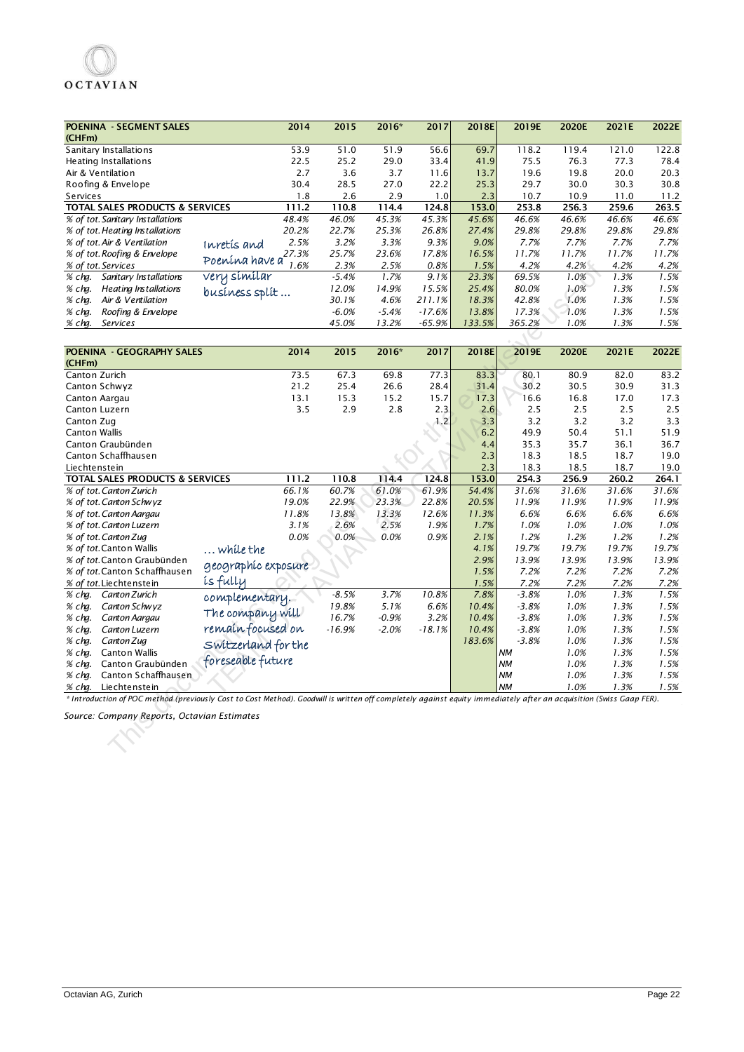| <b>POENINA - SEGMENT SALES</b><br>(CHFm)                                                                                                                            | 2014                    | 2015     | 2016*        | 2017     | 2018E  | 2019E     | 2020E | 2021E | 2022E |
|---------------------------------------------------------------------------------------------------------------------------------------------------------------------|-------------------------|----------|--------------|----------|--------|-----------|-------|-------|-------|
| Sanitary Installations                                                                                                                                              | 53.9                    | 51.0     | 51.9         | 56.6     | 69.7   | 118.2     | 119.4 | 121.0 | 122.8 |
| Heating Installations                                                                                                                                               | 22.5                    | 25.2     | 29.0         | 33.4     | 41.9   | 75.5      | 76.3  | 77.3  | 78.4  |
| Air & Ventilation                                                                                                                                                   | 2.7                     | 3.6      | 3.7          | 11.6     | 13.7   | 19.6      | 19.8  | 20.0  | 20.3  |
| Roofing & Envelope                                                                                                                                                  | 30.4                    | 28.5     | 27.0         | 22.2     | 25.3   | 29.7      | 30.0  | 30.3  | 30.8  |
| Services                                                                                                                                                            | 1.8                     | 2.6      |              | 1.0      | 2.3    | 10.7      | 10.9  | 11.0  | 11.2  |
|                                                                                                                                                                     | 111.2                   | 110.8    | 2.9<br>114.4 | 124.8    | 153.0  | 253.8     | 256.3 | 259.6 | 263.5 |
| TOTAL SALES PRODUCTS & SERVICES<br>% of tot. Sanitary Installations                                                                                                 | 48.4%                   | 46.0%    | 45.3%        | 45.3%    | 45.6%  | 46.6%     | 46.6% | 46.6% | 46.6% |
|                                                                                                                                                                     |                         | 22.7%    |              |          |        |           |       |       |       |
| % of tot. Heating Installations                                                                                                                                     | 20.2%                   |          | 25.3%        | 26.8%    | 27.4%  | 29.8%     | 29.8% | 29.8% | 29.8% |
| % of tot. Air & Ventilation                                                                                                                                         | 2.5%<br>Inretis and     | 3.2%     | 3.3%         | 9.3%     | 9.0%   | 7.7%      | 7.7%  | 7.7%  | 7.7%  |
| % of tot Roofing & Envelope                                                                                                                                         | 27.3%<br>Poenína have a | 25.7%    | 23.6%        | 17.8%    | 16.5%  | 11.7%     | 11.7% | 11.7% | 11.7% |
| % of tot. Services                                                                                                                                                  | 1.6%                    | 2.3%     | 2.5%         | 0.8%     | 1.5%   | 4.2%      | 4.2%  | 4.2%  | 4.2%  |
| % chq.<br>Sanitary Installations                                                                                                                                    | <u>very similar</u>     | $-5.4%$  | 1.7%         | 9.1%     | 23.3%  | 69.5%     | 1.0%  | 1.3%  | 1.5%  |
| % chq.<br>Heating Installations                                                                                                                                     | business split          | 12.0%    | 14.9%        | 15.5%    | 25.4%  | 80.0%     | 1.0%  | 1.3%  | 1.5%  |
| Air & Ventilation<br>% chq.                                                                                                                                         |                         | 30.1%    | 4.6%         | 211.1%   | 18.3%  | 42.8%     | 1.0%  | 1.3%  | 1.5%  |
| % chg.<br>Roofing & Envelope                                                                                                                                        |                         | $-6.0%$  | $-5.4%$      | $-17.6%$ | 13.8%  | 17.3%     | 1.0%  | 1.3%  | 1.5%  |
| % chq.<br><b>Services</b>                                                                                                                                           |                         | 45.0%    | 13.2%        | $-65.9%$ | 133.5% | 365.2%    | 1.0%  | 1.3%  | 1.5%  |
|                                                                                                                                                                     |                         |          |              |          |        |           |       |       |       |
| POENINA - GEOGRAPHY SALES<br>(CHFm)                                                                                                                                 | 2014                    | 2015     | 2016*        | 2017     | 2018E  | 2019E     | 2020E | 2021E | 2022E |
| Canton Zurich                                                                                                                                                       | 73.5                    | 67.3     | 69.8         | 77.3     | 83.3   | 80.1      | 80.9  | 82.0  | 83.2  |
| Canton Schwyz                                                                                                                                                       | 21.2                    | 25.4     | 26.6         | 28.4     | 31.4   | 30.2      | 30.5  | 30.9  | 31.3  |
| Canton Aargau                                                                                                                                                       | 13.1                    | 15.3     | 15.2         | 15.7     | 17.3   | 16.6      | 16.8  | 17.0  | 17.3  |
| Canton Luzern                                                                                                                                                       | 3.5                     | 2.9      | 2.8          | 2.3      | 2.6    | 2.5       | 2.5   | 2.5   | 2.5   |
| Canton Zug                                                                                                                                                          |                         |          |              | 1.2      | 3.3    | 3.2       | 3.2   | 3.2   | 3.3   |
| <b>Canton Wallis</b>                                                                                                                                                |                         |          |              |          | 6.2    | 49.9      | 50.4  | 51.1  | 51.9  |
| Canton Graubünden                                                                                                                                                   |                         |          |              |          | 4.4    | 35.3      | 35.7  | 36.1  | 36.7  |
| Canton Schaffhausen                                                                                                                                                 |                         |          |              |          | 2.3    | 18.3      | 18.5  | 18.7  | 19.0  |
|                                                                                                                                                                     |                         |          |              |          |        |           |       |       |       |
| Liechtenstein                                                                                                                                                       |                         |          |              |          | 2.3    | 18.3      | 18.5  | 18.7  | 19.0  |
| <b>TOTAL SALES PRODUCTS &amp; SERVICES</b>                                                                                                                          | 111.2                   | 110.8    | 114.4        | 124.8    | 153.0  | 254.3     | 256.9 | 260.2 | 264.1 |
| % of tot Canton Zurich                                                                                                                                              | 66.1%                   | 60.7%    | 61.0%        | 61.9%    | 54.4%  | 31.6%     | 31.6% | 31.6% | 31.6% |
| % of tot. Canton Schwyz                                                                                                                                             | 19.0%                   | 22.9%    | 23.3%        | 22.8%    | 20.5%  | 11.9%     | 11.9% | 11.9% | 11.9% |
| % of tot. Canton Aargau                                                                                                                                             | 11.8%                   | 13.8%    | 13.3%        | 12.6%    | 11.3%  | 6.6%      | 6.6%  | 6.6%  | 6.6%  |
| % of tot. Canton Luzern                                                                                                                                             | 3.1%                    | 2.6%     | 2.5%         | 1.9%     | 1.7%   | 1.0%      | 1.0%  | 1.0%  | 1.0%  |
| % of tot. Canton Zug                                                                                                                                                | 0.0%                    | $0.0\%$  | 0.0%         | 0.9%     | 2.1%   | 1.2%      | 1.2%  | 1.2%  | 1.2%  |
| % of tot Canton Wallis                                                                                                                                              | while the               |          |              |          | 4.1%   | 19.7%     | 19.7% | 19.7% | 19.7% |
| % of tot Canton Graubünden                                                                                                                                          | geographic exposure     |          |              |          | 2.9%   | 13.9%     | 13.9% | 13.9% | 13.9% |
| % of tot Canton Schaffhausen                                                                                                                                        |                         |          |              |          | 1.5%   | 7.2%      | 7.2%  | 7.2%  | 7.2%  |
| % of tot Liechtenstein                                                                                                                                              | <i>is</i> fully         |          |              |          | 1.5%   | 7.2%      | 7.2%  | 7.2%  | 7.2%  |
| % chg.<br>Canton Zurich                                                                                                                                             | complementary.          | $-8.5%$  | 3.7%         | 10.8%    | 7.8%   | $-3.8%$   | 1.0%  | 1.3%  | 1.5%  |
| % chq.<br>Canton Schwyz                                                                                                                                             |                         | 19.8%    | 5.1%         | 6.6%     | 10.4%  | $-3.8%$   | 1.0%  | 1.3%  | 1.5%  |
| Canton Aargau<br>% chq.                                                                                                                                             | The company will        | 16.7%    | $-0.9%$      | 3.2%     | 10.4%  | $-3.8%$   | 1.0%  | 1.3%  | 1.5%  |
| Canton Luzern<br>% chq.                                                                                                                                             | remain focused on       | $-16.9%$ | $-2.0%$      | $-18.1%$ | 10.4%  | $-3.8%$   | 1.0%  | 1.3%  | 1.5%  |
| % chg.<br>Canton Zug                                                                                                                                                | Switzerland for the     |          |              |          | 183.6% | $-3.8%$   | 1.0%  | 1.3%  | 1.5%  |
| <b>Canton Wallis</b><br>% chg.                                                                                                                                      |                         |          |              |          |        | <b>NM</b> | 1.0%  | 1.3%  | 1.5%  |
| Canton Graubünden<br>% chq.                                                                                                                                         | foreseable future       |          |              |          |        | <b>NM</b> | 1.0%  | 1.3%  | 1.5%  |
| Canton Schaffhausen<br>% chg.                                                                                                                                       |                         |          |              |          |        | NM        | 1.0%  | 1.3%  | 1.5%  |
| Liechtenstein<br>% chg.                                                                                                                                             |                         |          |              |          |        | <b>NM</b> | 1.0%  | 1.3%  | 1.5%  |
| * Introduction of POC method (previously Cost to Cost Method). Goodwill is written off completely against equity immediately after an acquisition (Swiss Gaap FER). |                         |          |              |          |        |           |       |       |       |
| Source: Company Reports, Octavian Estimates                                                                                                                         |                         |          |              |          |        |           |       |       |       |
|                                                                                                                                                                     |                         |          |              |          |        |           |       |       |       |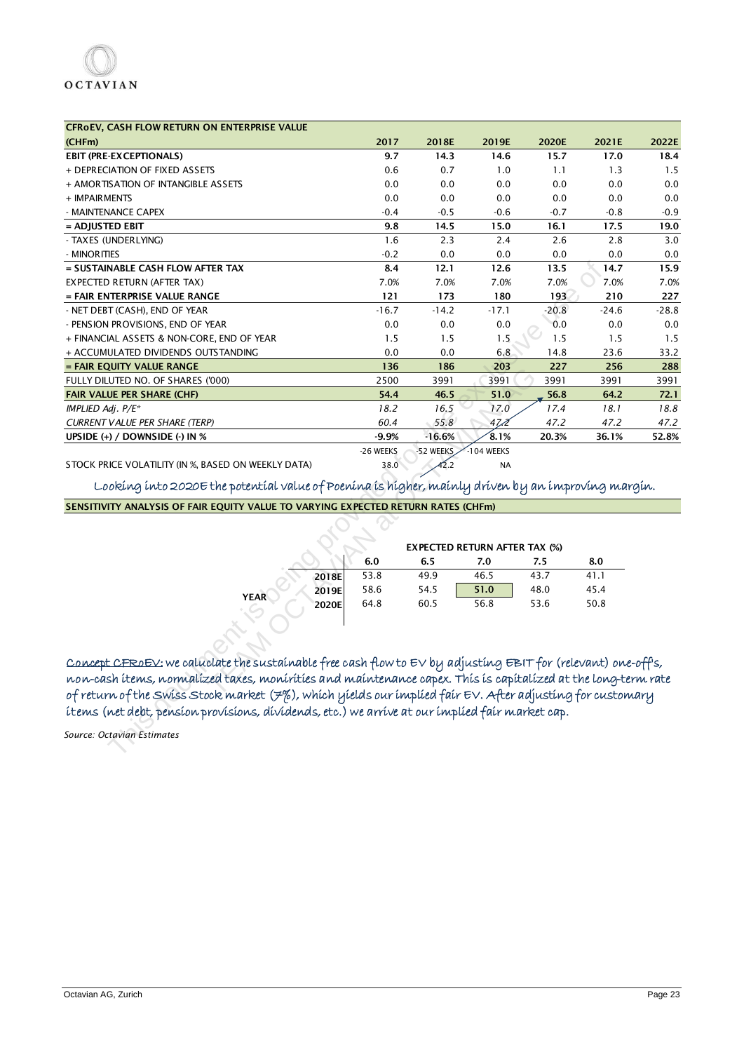| CFROEV, CASH FLOW RETURN ON ENTERPRISE VALUE                                                                     |           |           |                                      |         |         |         |
|------------------------------------------------------------------------------------------------------------------|-----------|-----------|--------------------------------------|---------|---------|---------|
| (CHFm)                                                                                                           | 2017      | 2018E     | 2019E                                | 2020E   | 2021E   | 2022E   |
| <b>EBIT (PRE-EXCEPTIONALS)</b>                                                                                   | 9.7       | 14.3      | 14.6                                 | 15.7    | 17.0    | 18.4    |
| + DEPRECIATION OF FIXED ASSETS                                                                                   | 0.6       | 0.7       | 1.0                                  | 1.1     | 1.3     | 1.5     |
| + AMORTISATION OF INTANGIBLE ASSETS                                                                              | 0.0       | 0.0       | 0.0                                  | 0.0     | 0.0     | 0.0     |
| + IMPAIRMENTS                                                                                                    | 0.0       | 0.0       | 0.0                                  | 0.0     | 0.0     | 0.0     |
| - MAINTENANCE CAPEX                                                                                              | $-0.4$    | $-0.5$    | $-0.6$                               | $-0.7$  | $-0.8$  | $-0.9$  |
| = ADJUSTED EBIT                                                                                                  | 9.8       | 14.5      | 15.0                                 | 16.1    | 17.5    | 19.0    |
| - TAXES (UNDERLYING)                                                                                             | 1.6       | 2.3       | 2.4                                  | 2.6     | 2.8     | 3.0     |
| - MINORITIES                                                                                                     | $-0.2$    | 0.0       | 0.0                                  | 0.0     | 0.0     | 0.0     |
| = SUSTAINABLE CASH FLOW AFTER TAX                                                                                | 8.4       | 12.1      | 12.6                                 | 13.5    | 14.7    | 15.9    |
| EXPECTED RETURN (AFTER TAX)                                                                                      | 7.0%      | 7.0%      | 7.0%                                 | 7.0%    | 7.0%    | 7.0%    |
| = FAIR ENTERPRISE VALUE RANGE                                                                                    | 121       | 173       | 180                                  | 193     | 210     | 227     |
| - NET DEBT (CASH), END OF YEAR                                                                                   | $-16.7$   | $-14.2$   | $-17.1$                              | $-20.8$ | $-24.6$ | $-28.8$ |
| - PENSION PROVISIONS, END OF YEAR                                                                                | 0.0       | 0.0       | 0.0                                  | 0.0     | 0.0     | 0.0     |
| + FINANCIAL ASSETS & NON-CORE, END OF YEAR                                                                       | 1.5       | 1.5       | 1.5                                  | 1.5     | 1.5     | 1.5     |
| + ACCUMULATED DIVIDENDS OUTSTANDING                                                                              | 0.0       | 0.0       | 6.8                                  | 14.8    | 23.6    | 33.2    |
| = FAIR EQUITY VALUE RANGE                                                                                        | 136       | 186       | 203                                  | 227     | 256     | 288     |
| FULLY DILUTED NO. OF SHARES ('000)                                                                               | 2500      | 3991      | 3991                                 | 3991    | 3991    | 3991    |
| <b>FAIR VALUE PER SHARE (CHF)</b>                                                                                | 54.4      | 46.5      | 51.0                                 | 56.8    | 64.2    | 72.1    |
| IMPLIED Adj. $P/E^*$                                                                                             | 18.2      | 16.5      | 17.0                                 | 17.4    | 18.1    | 18.8    |
| <b>CURRENT VALUE PER SHARE (TERP)</b>                                                                            | 60.4      | 55.8      | 47,2                                 | 47.2    | 47.2    | 47.2    |
| UPSIDE (+) / DOWNSIDE (-) IN %                                                                                   | -9.9%     | $-16.6%$  | 8.1%                                 | 20.3%   | 36.1%   | 52.8%   |
|                                                                                                                  | -26 WEEKS | -52 WEEKS | $-104$ WEEKS                         |         |         |         |
| STOCK PRICE VOLATILITY (IN %, BASED ON WEEKLY DATA)                                                              | 38.0      | 42.2      | <b>NA</b>                            |         |         |         |
| Looking into 2020E the potential value of Poenina is higher, mainly driven by an improving margin.               |           |           |                                      |         |         |         |
|                                                                                                                  |           |           |                                      |         |         |         |
| SENSITIVITY ANALYSIS OF FAIR EQUITY VALUE TO VARYING EXPECTED RETURN RATES (CHFm)                                |           |           |                                      |         |         |         |
|                                                                                                                  |           |           |                                      |         |         |         |
|                                                                                                                  |           |           |                                      |         |         |         |
|                                                                                                                  |           |           | <b>EXPECTED RETURN AFTER TAX (%)</b> |         |         |         |
|                                                                                                                  | 6.0       | 6.5       | 7.0                                  | 7.5     | 8.0     |         |
| 2018E                                                                                                            | 53.8      | 49.9      | 46.5                                 | 43.7    | 41.1    |         |
| 2019E<br><b>YEAR</b>                                                                                             | 58.6      | 54.5      | 51.0                                 | 48.0    | 45.4    |         |
| 2020E                                                                                                            | 64.8      | 60.5      | 56.8                                 | 53.6    | 50.8    |         |
|                                                                                                                  |           |           |                                      |         |         |         |
|                                                                                                                  |           |           |                                      |         |         |         |
|                                                                                                                  |           |           |                                      |         |         |         |
| Concept CEROEV: we caluclate the sustainable free cash flow to EV by adjusting EBIT for (relevant) one-off's,    |           |           |                                      |         |         |         |
| non-cash items, normalized taxes, monirities and maintenance capex. This is capitalized at the long-term rate    |           |           |                                      |         |         |         |
| of return of the Swiss Stock market $(7\%)$ , which yields our implied fair $E$ V. After adjusting for customary |           |           |                                      |         |         |         |
| ítenis (net debt, pensíon provisíons, dividends, etc.) we arrive at our implied fair market cap.                 |           |           |                                      |         |         |         |
|                                                                                                                  |           |           |                                      |         |         |         |
| Source: Octavian Estimates                                                                                       |           |           |                                      |         |         |         |
|                                                                                                                  |           |           |                                      |         |         |         |
|                                                                                                                  |           |           |                                      |         |         |         |

## SENSITIVITY ANALYSIS OF FAIR EQUITY VALUE TO VARYING EXPECTED RETURN RATES (CHFm)

|             |       |      |      | <b>EXPECTED RETURN AFTER TAX (%)</b> |      |      |
|-------------|-------|------|------|--------------------------------------|------|------|
|             |       | 6.0  | 6.5  | 7.0                                  | 7.5  | 8.0  |
|             | 2018E | 53.8 | 49.9 | 46.5                                 | 43.7 | 41.1 |
| <b>YEAR</b> | 2019E | 58.6 | 54.5 | 51.0                                 | 48.0 | 45.4 |
|             | 2020E | 64.8 | 60.5 | 56.8                                 | 53.6 | 50.8 |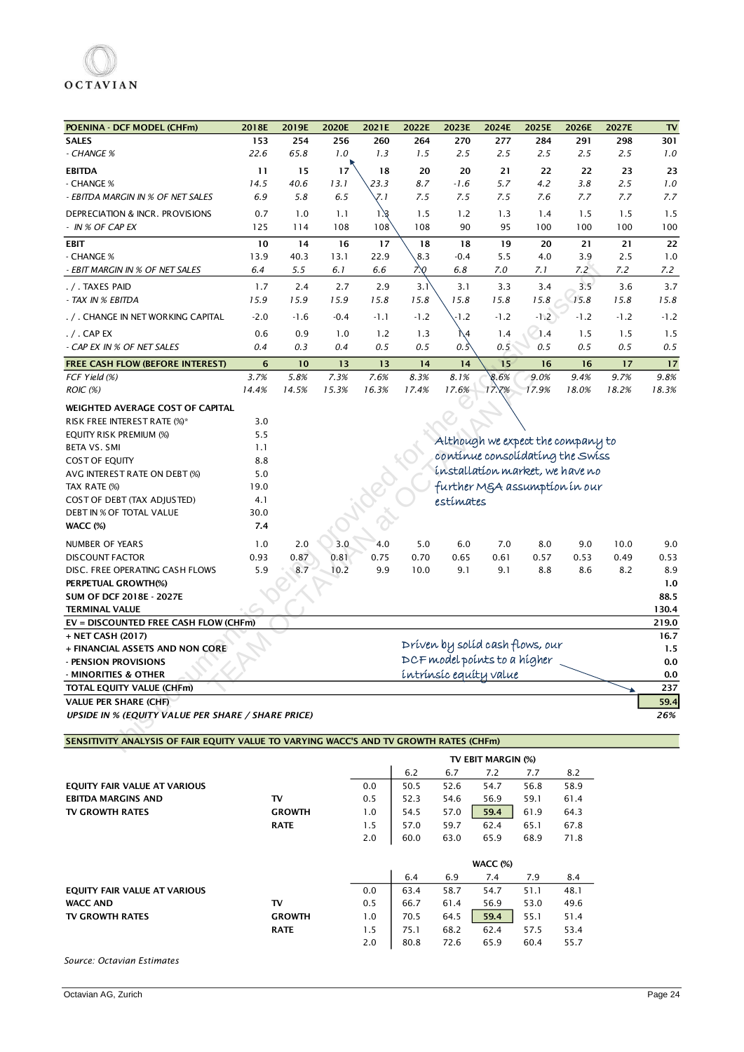| POENINA - DCF MODEL (CHFm)                                                             | 2018E       | 2019E         | 2020E       | 2021E       | 2022E       | 2023E         | 2024E                        | 2025E                             | 2026E       | 2027E       | $\mathbf{TV}$ |
|----------------------------------------------------------------------------------------|-------------|---------------|-------------|-------------|-------------|---------------|------------------------------|-----------------------------------|-------------|-------------|---------------|
| <b>SALES</b>                                                                           | 153         | 254           | 256         | 260         | 264         | 270           | 277                          | 284                               | 291         | 298         | 301           |
| - CHANGE %                                                                             | 22.6        | 65.8          | 1.0         | 1.3         | 1.5         | 2.5           | 2.5                          | 2.5                               | 2.5         | 2.5         | 1.0           |
| <b>EBITDA</b>                                                                          | 11          | 15            | 17          | 18          | 20          | 20            | 21                           | 22                                | 22          | 23          | 23            |
| - CHANGE %                                                                             | 14.5        | 40.6          | 13.1        | 23.3        | 8.7         | $-1.6$        | 5.7                          | 4.2                               | 3.8         | 2.5         | 1.0           |
| - EBITDA MARGIN IN % OF NET SALES                                                      | 6.9         | 5.8           | 6.5         | 7. 1        | 7.5         | 7.5           | 7.5                          | 7.6                               | 7.7         | 7.7         | 7.7           |
| DEPRECIATION & INCR. PROVISIONS                                                        | 0.7         | 1.0           | 1.1         | 1/3         | 1.5         | 1.2           | 1.3                          | 1.4                               | 1.5         | 1.5         | 1.5           |
| - IN % OF CAP EX                                                                       | 125         | 114           | 108         | 108         | 108         | 90            | 95                           | 100                               | 100         | 100         | 100           |
|                                                                                        | 10          | 14            | 16          | 17          | 18          | 18            | 19                           | 20                                | 21          | 21          | 22            |
| EBIT<br>- CHANGE %                                                                     | 13.9        | 40.3          | 13.1        | 22.9        | 8.3         | $-0.4$        | 5.5                          | 4.0                               | 3.9         | 2.5         | 1.0           |
| - EBIT MARGIN IN % OF NET SALES                                                        | 6.4         | 5.5           | 6.1         | 6.6         | ΖX,         | 6.8           | 7.0                          | 7.1                               | 7.2         | 7.2         | 7.2           |
|                                                                                        |             |               |             |             |             |               |                              |                                   |             |             |               |
| . / . Taxes paid<br>- TAX IN % EBITDA                                                  | 1.7<br>15.9 | 2.4<br>15.9   | 2.7<br>15.9 | 2.9<br>15.8 | 3.1<br>15.8 | 3.1<br>15.8   | 3.3<br>15.8                  | 3.4<br>15.8                       | 3.5<br>15.8 | 3.6<br>15.8 | 3.7<br>15.8   |
|                                                                                        |             |               |             |             |             |               |                              |                                   |             |             |               |
| . / . CHANGE IN NET WORKING CAPITAL                                                    | $-2.0$      | $-1.6$        | $-0.4$      | $-1.1$      | $-1.2$      | -1.2          | $-1.2$                       | $-1.2$                            | $-1.2$      | $-1.2$      | $-1.2$        |
| . / . CAP EX                                                                           | 0.6         | 0.9           | 1.0         | 1.2         | 1.3         | ۱\4           | 1.4                          | (1.4)                             | 1.5         | 1.5         | 1.5           |
| - CAP EX IN % OF NET SALES                                                             | 0.4         | 0.3           | 0.4         | 0.5         | 0.5         | $0.5^{\circ}$ | 0.5                          | 0.5                               | 0.5         | 0.5         | 0.5           |
| FREE CASH FLOW (BEFORE INTEREST)                                                       | 6           | 10            | 13          | 13          | 14          | 14            | 15                           | 16                                | 16          | 17          | 17            |
| FCF Yield (%)                                                                          | 3.7%        | 5.8%          | 7.3%        | 7.6%        | 8.3%        | 8.1%          | 8.6%                         | 9.0%                              | 9.4%        | 9.7%        | 9.8%          |
| ROIC (%)                                                                               | 14.4%       | 14.5%         | 15.3%       | 16.3%       | 17.4%       | 17.6%         | 17.7%                        | 17.9%                             | 18.0%       | 18.2%       | 18.3%         |
| WEIGHTED AVERAGE COST OF CAPITAL                                                       |             |               |             |             |             |               |                              |                                   |             |             |               |
| RISK FREE INTEREST RATE (%)*                                                           | 3.0         |               |             |             |             |               |                              |                                   |             |             |               |
| EQUITY RISK PREMIUM (%)                                                                | 5.5         |               |             |             |             |               |                              | Although we expect the company to |             |             |               |
| <b>BETA VS. SMI</b>                                                                    | 1.1         |               |             |             |             |               |                              |                                   |             |             |               |
| COST OF EQUITY                                                                         | 8.8         |               |             |             |             |               |                              | continue consolidating the Swiss  |             |             |               |
| AVG INTEREST RATE ON DEBT (%)                                                          | 5.0         |               |             |             |             |               |                              | installation market, we have no   |             |             |               |
| TAX RATE (%)                                                                           | 19.0        |               |             |             |             |               |                              | further MgA assumption in our     |             |             |               |
| COST OF DEBT (TAX ADJUSTED)                                                            | 4.1         |               |             |             |             | estímates     |                              |                                   |             |             |               |
| DEBT IN % OF TOTAL VALUE                                                               | 30.0        |               |             |             |             |               |                              |                                   |             |             |               |
| WACC (%)                                                                               | 7.4         |               |             |             |             |               |                              |                                   |             |             |               |
| NUMBER OF YEARS                                                                        | 1.0         | 2.0           | 3.0         | 4.0         | $5.0$       | 6.0           | 7.0                          | 8.0                               | 9.0         | 10.0        | 9.0           |
| <b>DISCOUNT FACTOR</b>                                                                 | 0.93        | 0.87          | 0.81        | 0.75        | 0.70        | 0.65          | 0.61                         | 0.57                              | 0.53        | 0.49        | 0.53          |
| DISC. FREE OPERATING CASH FLOWS                                                        | 5.9         | 8.7           | 10.2        | 9.9         | 10.0        | 9.1           | 9.1                          | 8.8                               | 8.6         | 8.2         | 8.9           |
| PERPETUAL GROWTH(%)                                                                    |             |               |             |             |             |               |                              |                                   |             |             | 1.0           |
| SUM OF DCF 2018E - 2027E                                                               |             |               |             |             |             |               |                              |                                   |             |             | 88.5          |
| <b>TERMINAL VALUE</b>                                                                  |             |               |             |             |             |               |                              |                                   |             |             | 130.4         |
| EV = DISCOUNTED FREE CASH FLOW (CHFm)                                                  |             |               |             |             |             |               |                              |                                   |             |             | 219.0         |
| + NET CASH (2017)                                                                      |             |               |             |             |             |               |                              | Dríven by solíd cash flows, our   |             |             | 16.7          |
| + FINANCIAL ASSETS AND NON CORE<br>- PENSION PROVISIONS                                |             |               |             |             |             |               | DCF model points to a higher |                                   |             |             | 1.5<br>0.0    |
| - MINORITIES & OTHER                                                                   |             |               |             |             |             |               | intrinsic equity value       |                                   |             |             | 0.0           |
| TOTAL EQUITY VALUE (CHFm)                                                              |             |               |             |             |             |               |                              |                                   |             |             | 237           |
| <b>VALUE PER SHARE (CHF)</b>                                                           |             |               |             |             |             |               |                              |                                   |             |             | 59.4          |
| <b>UPSIDE IN % (EQUITY VALUE PER SHARE / SHARE PRICE)</b>                              |             |               |             |             |             |               |                              |                                   |             |             | 26%           |
|                                                                                        |             |               |             |             |             |               |                              |                                   |             |             |               |
| SENSITIVITY ANALYSIS OF FAIR EQUITY VALUE TO VARYING WACC'S AND TV GROWTH RATES (CHFm) |             |               |             |             |             |               |                              |                                   |             |             |               |
|                                                                                        |             |               |             |             |             |               | TV EBIT MARGIN (%)           |                                   |             |             |               |
|                                                                                        |             |               |             |             | 6.2         | 6.7           | 7.2                          | 7.7                               | 8.2         |             |               |
| EQUITY FAIR VALUE AT VARIOUS                                                           |             |               |             | 0.0         | 50.5        | 52.6          | 54.7                         | 56.8                              | 58.9        |             |               |
| <b>EBITDA MARGINS AND</b>                                                              |             | TV            |             | 0.5         | 52.3        | 54.6          | 56.9                         | 59.1                              | 61.4        |             |               |
| TV GROWTH RATES                                                                        |             | <b>GROWTH</b> |             | 1.0         | 54.5        | 57.0          | 59.4                         | 61.9                              | 64.3        |             |               |
|                                                                                        |             | <b>RATE</b>   |             | 1.5         | 57.0        | 59.7          | 62.4                         | 65.1                              | 67.8        |             |               |
|                                                                                        |             |               |             | 2.0         | 60.0        | 63.0          | 65.9                         | 68.9                              | 71.8        |             |               |
|                                                                                        |             |               |             |             |             |               |                              |                                   |             |             |               |
|                                                                                        |             |               |             |             |             |               | WACC (%)                     |                                   |             |             |               |
|                                                                                        |             |               |             |             | 6.4         | 6.9           | 7.4                          | 7.9                               | 8.4         |             |               |
| EQUITY FAIR VALUE AT VARIOUS                                                           |             |               |             | 0.0         | 63.4        | 58.7          | 54.7                         | 51.1                              | 48.1        |             |               |
| <b>WACC AND</b>                                                                        |             | TV            |             | 0.5         | 66.7        | 61.4          | 56.9                         | 53.0                              | 49.6        |             |               |
| TV GROWTH RATES                                                                        |             | <b>GROWTH</b> |             | 1.0         | 70.5        | 64.5          | 59.4                         | 55.1                              | 51.4        |             |               |
|                                                                                        |             | <b>RATE</b>   |             | 1.5         | 75.1        | 68.2          | 62.4                         | 57.5                              | 53.4        |             |               |
|                                                                                        |             |               |             | 2.0         | 80.8        | 72.6          | 65.9                         | 60.4                              | 55.7        |             |               |
| Source: Octavian Estimates                                                             |             |               |             |             |             |               |                              |                                   |             |             |               |

|                              |               |     |      |      | <b>WACC (%)</b> |      |      |
|------------------------------|---------------|-----|------|------|-----------------|------|------|
|                              |               |     | 6.4  | 6.9  | 7.4             | 7.9  | 8.4  |
| EQUITY FAIR VALUE AT VARIOUS |               | 0.0 | 63.4 | 58.7 | 54.7            | 51.1 | 48.1 |
| <b>WACC AND</b>              | т٧            | 0.5 | 66.7 | 61.4 | 56.9            | 53.0 | 49.6 |
| <b>TV GROWTH RATES</b>       | <b>GROWTH</b> | 1.0 | 70.5 | 64.5 | 59.4            | 55.1 | 51.4 |
|                              | <b>RATE</b>   | 1.5 | 75.1 | 68.2 | 62.4            | 57.5 | 53.4 |
|                              |               | 2.0 | 80.8 | 72.6 | 65.9            | 60.4 | 55.7 |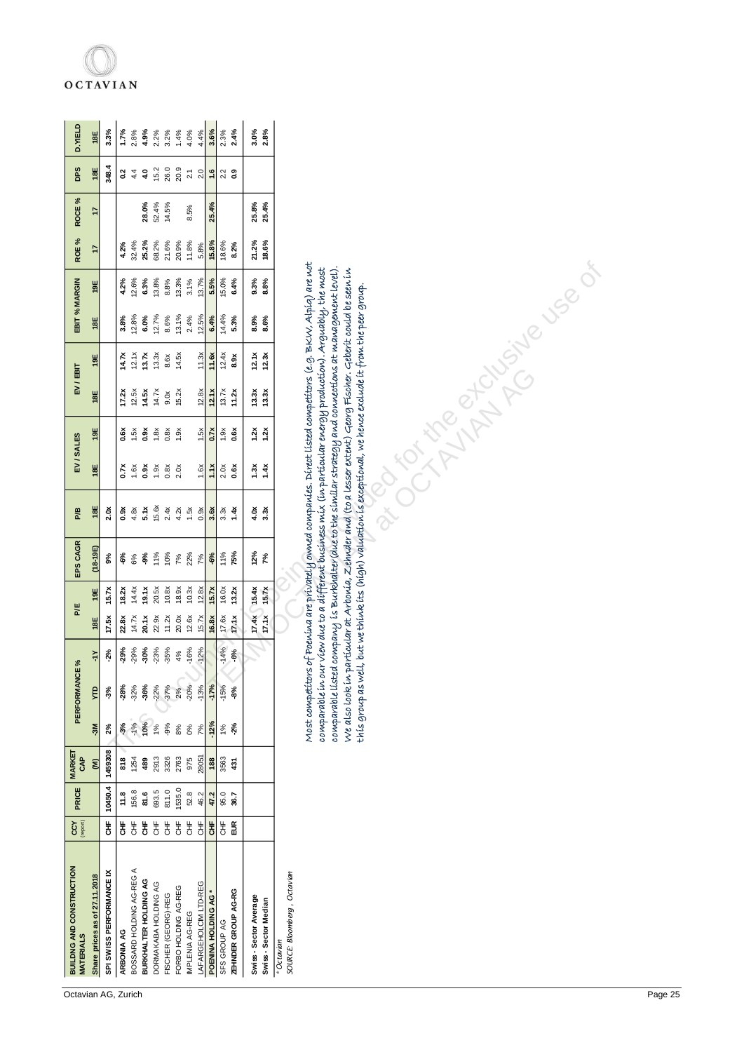| BUILDNG AND CONSTRUCTION<br><b>MATERIALS</b>  | CCY                    | PRICE         | MARKET<br><b>GAP</b>              |               | PERFORMANCE %  |                       | PÆ             |                | EPS CAGR     | P/B                                                                                                                                                                                                                                                                                                                                                                                                                                                                                                                                                                            | EV/SALES                                    |                                               | EV/EBIT            |                | EBIT % MARGIN |               | ROE <sup>%</sup> | ROCE%          | <b>DPS</b>              | D. YIELD     |
|-----------------------------------------------|------------------------|---------------|-----------------------------------|---------------|----------------|-----------------------|----------------|----------------|--------------|--------------------------------------------------------------------------------------------------------------------------------------------------------------------------------------------------------------------------------------------------------------------------------------------------------------------------------------------------------------------------------------------------------------------------------------------------------------------------------------------------------------------------------------------------------------------------------|---------------------------------------------|-----------------------------------------------|--------------------|----------------|---------------|---------------|------------------|----------------|-------------------------|--------------|
| Share prices as of 27.11.2018                 |                        |               | $\widehat{\boldsymbol{\epsilon}}$ | $\frac{5}{2}$ | ę              | $\overline{\Upsilon}$ | 18E            | 19E            | $(18-19E)$   | 18E                                                                                                                                                                                                                                                                                                                                                                                                                                                                                                                                                                            | 18E                                         | 19E                                           | 18E                | 19E            | 18E           | 19E           | 47               | 47             | 18E                     | 18E          |
| SPI SWISS PERFORMANCE IX                      | 놓                      | 10450.4       | 1459308                           | 2%            | $-3%$          | $-2%$                 | 17.5x          | 15.7x          | 9%           | 2.0x                                                                                                                                                                                                                                                                                                                                                                                                                                                                                                                                                                           |                                             |                                               |                    |                |               |               |                  |                | 348.4                   | 3.3%         |
| ARBONIA AG                                    | 붛                      | 11.8          | 818                               | $-3%$         | $-28%$         | $-29%$                | 22.8x          | 18.2x          | ಕ್ಗೆ         | 0.9x                                                                                                                                                                                                                                                                                                                                                                                                                                                                                                                                                                           | 0.7x                                        | <b>0.6x</b>                                   | 17.2x              | 14.7x          | 3.8%          | 4.2%          | 4.2%             |                | $\rm ^{2}$              | 1.7%         |
| BOSSARD HOLDING AG-REG A                      | 齿                      | 156.8         | 1254                              | $-1%$         | $-32%$         | $-29%$                | 14.7x          | 14.4x          | 6%           | 4.8x                                                                                                                                                                                                                                                                                                                                                                                                                                                                                                                                                                           | 1.6x                                        | 1.5x                                          | 12.5x              | 12.1x          | 12.8%         | 12.6%         | 32.4%            |                | 4.4                     | 2.8%         |
| BURKHALTER HOLDING AG<br>DORMAKABA HOLDING AG | 놓<br>齿                 | 693.5<br>81.6 | 2913<br>489                       | 10%<br>1%     | -36%<br>$-22%$ | $-30%$<br>$-23%$      | 20.1x<br>22.9x | 19.1x<br>20.5x | 11%<br>$-9%$ | 15.6x<br>5.1x                                                                                                                                                                                                                                                                                                                                                                                                                                                                                                                                                                  | 0.9x<br>1.9x                                | 0.9x<br>1.8x                                  | 14.7x<br>14.5x     | 13.7x<br>13.3x | 12.7%<br>6.0% | 6.3%<br>13.8% | 25.2%<br>68.2%   | 28.0%<br>52.4% | 15.2<br>4.0             | 4.9%<br>2.2% |
| FISCHER (GEORG)-REG                           | $\frac{4}{5}$          | 811.0         | 3326                              | $-9%$         | $-37%$         | -35%                  | 11.2x          | 10.8x          | 10%          | 2.4x                                                                                                                                                                                                                                                                                                                                                                                                                                                                                                                                                                           | 0.8x                                        | 0.8x                                          | 9.0x               | 8.6x           | 8.6%          | 8.8%          | 21.6%            | 14.5%          | 26.0                    | 3.2%         |
| FORBO HOLDING AG-REG                          | 齿                      | 1535.0        | 2763                              | $8\%$         | 2%             | 4%                    | 20.0x          | 18.9x          | 7%           | 4.2x                                                                                                                                                                                                                                                                                                                                                                                                                                                                                                                                                                           | 2.0x                                        | 1.9x                                          | 15.2x              | 14.5x          | 13.1%         | 13.3%         | 20.9%            |                | 20.9                    | 1.4%         |
| IMPLENIA AG-REG                               | $\frac{4}{5}$          | 52.8          | 975                               | $O\%$         | $-20%$         | $-16%$                | 12.6x          | 10.3x          | 22%          | 1.5x                                                                                                                                                                                                                                                                                                                                                                                                                                                                                                                                                                           |                                             |                                               |                    |                | 2.4%          | 3.1%          | 11.8%            | 8.5%           | $\overline{2.1}$        | 4.0%         |
| LAFARGEHOLCIM LTD-REG                         | $\frac{4}{5}$          | 46.2          | 28051                             | 7%            | $-13%$         | $-12%$                | 15.7x          | 12.8x          | 7%           | 0.9x                                                                                                                                                                                                                                                                                                                                                                                                                                                                                                                                                                           | 1.6x                                        | 1.5x                                          | 12.8x              | 11.3x          | 12.5%         | 13.7%         | 5.8%             |                | 2.0                     | 4.4%         |
| POENINA HOLDING AG *                          | $\ddot{\ddot{\sigma}}$ | 47.2          | 188                               | $-12%$        | $-17%$         |                       | 16.8x          | 15.7x          | $-6%$        | 3.6x                                                                                                                                                                                                                                                                                                                                                                                                                                                                                                                                                                           | 1.1x                                        | 0.7x                                          | 12.1x              | 11.6x          | 6.4%          | 5.5%          | 15.8%            | 25.4%          | 1.6                     | 3.6%         |
| SFS GROUP AG                                  | 告                      | 95.0          | 3563                              | 1%            | $-15%$         | $-14%$                | 17.6x          | 16.0x          | 11%          | 3.3x                                                                                                                                                                                                                                                                                                                                                                                                                                                                                                                                                                           | $2.\overline{0}$ . 6x                       | 1.9x                                          | 13.7x              | 12.4x          | 14.4%         | 15.0%         | 18.6%            |                | $2.\overline{2}$<br>0.9 | 2.3%         |
| ZEHNDER GROUP AG-RG                           | $\frac{\kappa}{2}$     | 36.7          | $\ddot{3}$                        | $-2%$         | -8%            | $-6%$                 | 17.1x          | 13.2x          | 75%          | 1.4x                                                                                                                                                                                                                                                                                                                                                                                                                                                                                                                                                                           |                                             | 0.6X                                          | 11.2x              | 8.9x           | 5.3%          | 6.4%          | 8.2%             |                |                         | 2.4%         |
| Swiss-Sector Average                          |                        |               |                                   |               |                |                       | 17.4x          | 15.4x          | 12%          | 4.0x                                                                                                                                                                                                                                                                                                                                                                                                                                                                                                                                                                           |                                             |                                               |                    | 12.1x          | 8.9%          | 9.3%          | 21.2%            | 25.8%          |                         | 3.0%         |
| Swiss - Sector Median                         |                        |               |                                   |               |                |                       | 17.1x          | 15.7x          | 7%           | 3.3x                                                                                                                                                                                                                                                                                                                                                                                                                                                                                                                                                                           | $\begin{array}{c} 1.3x \\ 1.4x \end{array}$ | $\begin{array}{c}\n1.2x \\ 1.2x\n\end{array}$ | $13.3x$<br>$13.3x$ | 12.3x          | 8.6%          | 8.8%          | 18.6%            | 25.4%          |                         | 2.8%         |
| SOURCE: Bloomberg, Octavian<br>* Octavian     |                        |               |                                   |               |                |                       |                |                |              |                                                                                                                                                                                                                                                                                                                                                                                                                                                                                                                                                                                |                                             |                                               |                    |                |               |               |                  |                |                         |              |
|                                               |                        |               |                                   |               |                |                       |                |                |              | Most competitors of Poenína are privately owned companies. Direct listed competitors (e.g. BKW, Alpíq) are not<br>oomparablelisted oompany is Burkhalter(due to the similar strategy and connections at management level).<br>comparable in our view due to a different business mix (in particular energy production). Arguably, the most<br>We also look in particular at Arbonia, Zehnder and (to a lesser extent) Georg Fischer. Geberit could be seen in<br>this group as well, but we think its (high) valuation is exceptional, we hence exclude it from the peer group |                                             |                                               |                    | LIVETA ROCHE   |               |               |                  |                |                         |              |
|                                               |                        |               |                                   |               |                |                       |                |                |              |                                                                                                                                                                                                                                                                                                                                                                                                                                                                                                                                                                                |                                             |                                               |                    |                |               |               |                  |                |                         |              |

## **OCTAVIAN**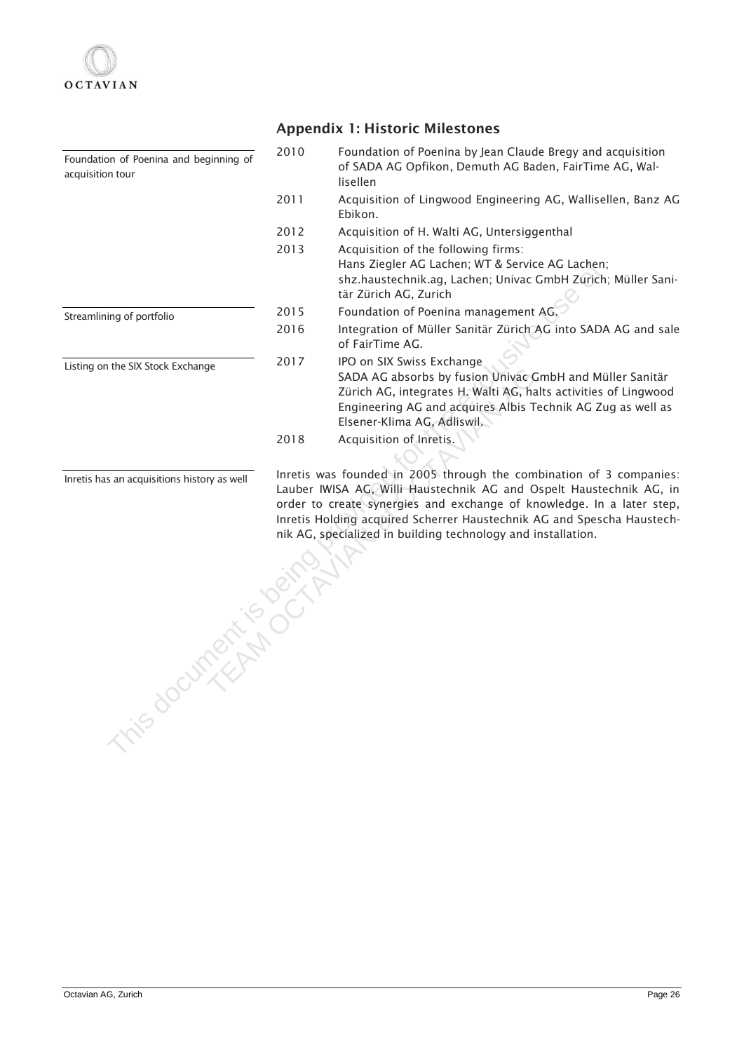| Foundation of Poenina and beginning of<br>acquisition tour          | 2010 | Foundation of Poenina by Jean Claude Bregy and acquisition<br>of SADA AG Opfikon, Demuth AG Baden, FairTime AG, Wal-<br>lisellen                                                                                                                                                                                                                              |
|---------------------------------------------------------------------|------|---------------------------------------------------------------------------------------------------------------------------------------------------------------------------------------------------------------------------------------------------------------------------------------------------------------------------------------------------------------|
|                                                                     | 2011 | Acquisition of Lingwood Engineering AG, Wallisellen, Banz AG<br>Ebikon.                                                                                                                                                                                                                                                                                       |
|                                                                     | 2012 | Acquisition of H. Walti AG, Untersiggenthal                                                                                                                                                                                                                                                                                                                   |
|                                                                     | 2013 | Acquisition of the following firms:<br>Hans Ziegler AG Lachen; WT & Service AG Lachen;<br>shz.haustechnik.ag, Lachen; Univac GmbH Zurich; Müller Sani-<br>tär Zürich AG, Zurich                                                                                                                                                                               |
| Streamlining of portfolio                                           | 2015 | Foundation of Poenina management AG.                                                                                                                                                                                                                                                                                                                          |
|                                                                     | 2016 | Integration of Müller Sanitär Zürich AG into SADA AG and sale<br>of FairTime AG.                                                                                                                                                                                                                                                                              |
| Listing on the SIX Stock Exchange                                   | 2017 | IPO on SIX Swiss Exchange<br>SADA AG absorbs by fusion Univac GmbH and Müller Sanitär<br>Zürich AG, integrates H. Walti AG, halts activities of Lingwood<br>Engineering AG and acquires Albis Technik AG Zug as well as<br>Elsener-Klima AG, Adliswil.                                                                                                        |
|                                                                     | 2018 | Acquisition of Inretis.                                                                                                                                                                                                                                                                                                                                       |
| Inretis has an acquisitions history as well<br>is document is deing |      | Inretis was founded in 2005 through the combination of 3 companies:<br>Lauber IWISA AG, Willi Haustechnik AG and Ospelt Haustechnik AG, in<br>order to create synergies and exchange of knowledge. In a later step,<br>Inretis Holding acquired Scherrer Haustechnik AG and Spescha Haustech-<br>nik AG, specialized in building technology and installation. |
|                                                                     |      |                                                                                                                                                                                                                                                                                                                                                               |

Appendix 1: Historic Milestones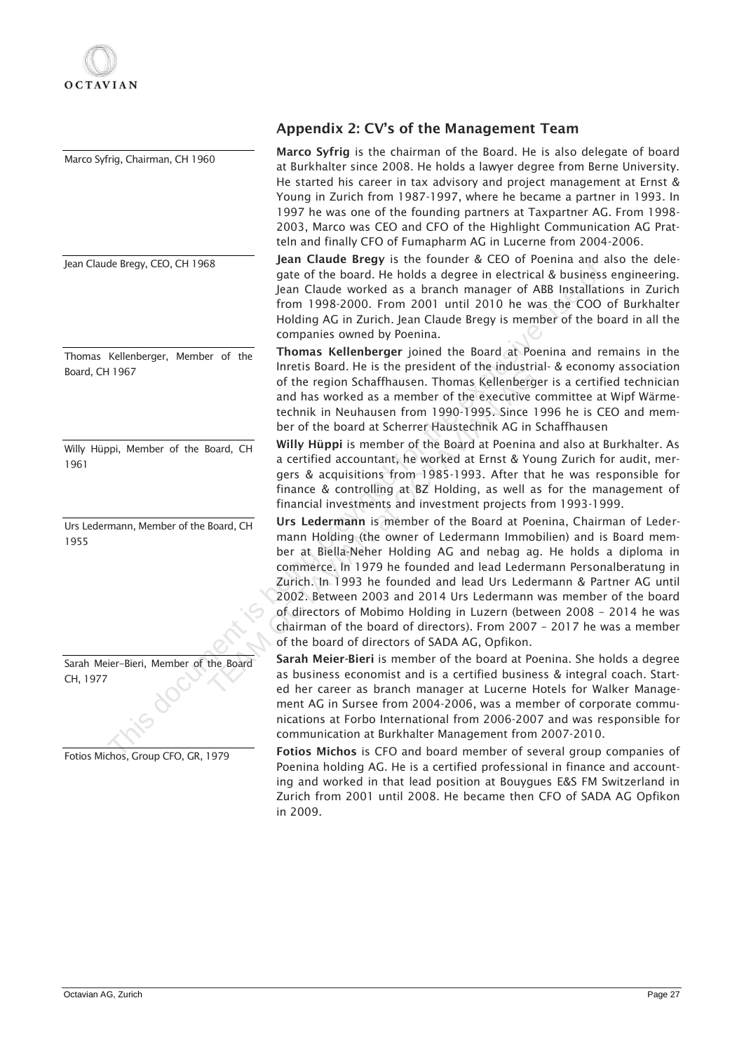Marco Syfrig, Chairman, CH 1960 Jean Claude Bregy, CEO, CH 1968 Thomas Kellenberger, Member of the Board, CH 1967 Willy Hüppi, Member of the Board, CH 1961 Urs Ledermann, Member of the Board, CH 1955 Sarah Meier-Bieri, Member of the Board CH, 1977 Four Counter of the Board, CH (1988)<br>
Jane of the board, the holds a degree in electrical & business<br>
Form 1998-2000. From 2001 until 2010 the was the COO<br>
Holding AG in Zurich, Jean Claude Breegy is member of the business

## Appendix 2: CV's of the Management Team

Marco Syfrig is the chairman of the Board. He is also delegate of board at Burkhalter since 2008. He holds a lawyer degree from Berne University. He started his career in tax advisory and project management at Ernst & Young in Zurich from 1987-1997, where he became a partner in 1993. In 1997 he was one of the founding partners at Taxpartner AG. From 1998- 2003, Marco was CEO and CFO of the Highlight Communication AG Pratteln and finally CFO of Fumapharm AG in Lucerne from 2004-2006.

Jean Claude Bregy is the founder & CEO of Poenina and also the delegate of the board. He holds a degree in electrical & business engineering. Jean Claude worked as a branch manager of ABB Installations in Zurich from 1998-2000. From 2001 until 2010 he was the COO of Burkhalter Holding AG in Zurich. Jean Claude Bregy is member of the board in all the companies owned by Poenina.

Thomas Kellenberger joined the Board at Poenina and remains in the Inretis Board. He is the president of the industrial- & economy association of the region Schaffhausen. Thomas Kellenberger is a certified technician and has worked as a member of the executive committee at Wipf Wärmetechnik in Neuhausen from 1990-1995. Since 1996 he is CEO and member of the board at Scherrer Haustechnik AG in Schaffhausen

Willy Hüppi is member of the Board at Poenina and also at Burkhalter. As a certified accountant, he worked at Ernst & Young Zurich for audit, mergers & acquisitions from 1985-1993. After that he was responsible for finance & controlling at BZ Holding, as well as for the management of financial investments and investment projects from 1993-1999.

Urs Ledermann is member of the Board at Poenina, Chairman of Ledermann Holding (the owner of Ledermann Immobilien) and is Board member at Biella-Neher Holding AG and nebag ag. He holds a diploma in commerce. In 1979 he founded and lead Ledermann Personalberatung in Zurich. In 1993 he founded and lead Urs Ledermann & Partner AG until 2002. Between 2003 and 2014 Urs Ledermann was member of the board of directors of Mobimo Holding in Luzern (between 2008 – 2014 he was chairman of the board of directors). From 2007 – 2017 he was a member of the board of directors of SADA AG, Opfikon. IF ILM SOGALT HE IS the persual of the frameword. The insultant of the region Schaffhausen. Thomas Kellenberge<br>and has worked as a member of the executive cechnik in Neuhausen from 1990-1995. Since 19<br>ber of the board at S

Sarah Meier-Bieri is member of the board at Poenina. She holds a degree as business economist and is a certified business & integral coach. Started her career as branch manager at Lucerne Hotels for Walker Management AG in Sursee from 2004-2006, was a member of corporate communications at Forbo International from 2006-2007 and was responsible for communication at Burkhalter Management from 2007-2010.

Fotios Michos is CFO and board member of several group companies of Poenina holding AG. He is a certified professional in finance and accounting and worked in that lead position at Bouygues E&S FM Switzerland in Zurich from 2001 until 2008. He became then CFO of SADA AG Opfikon in 2009.